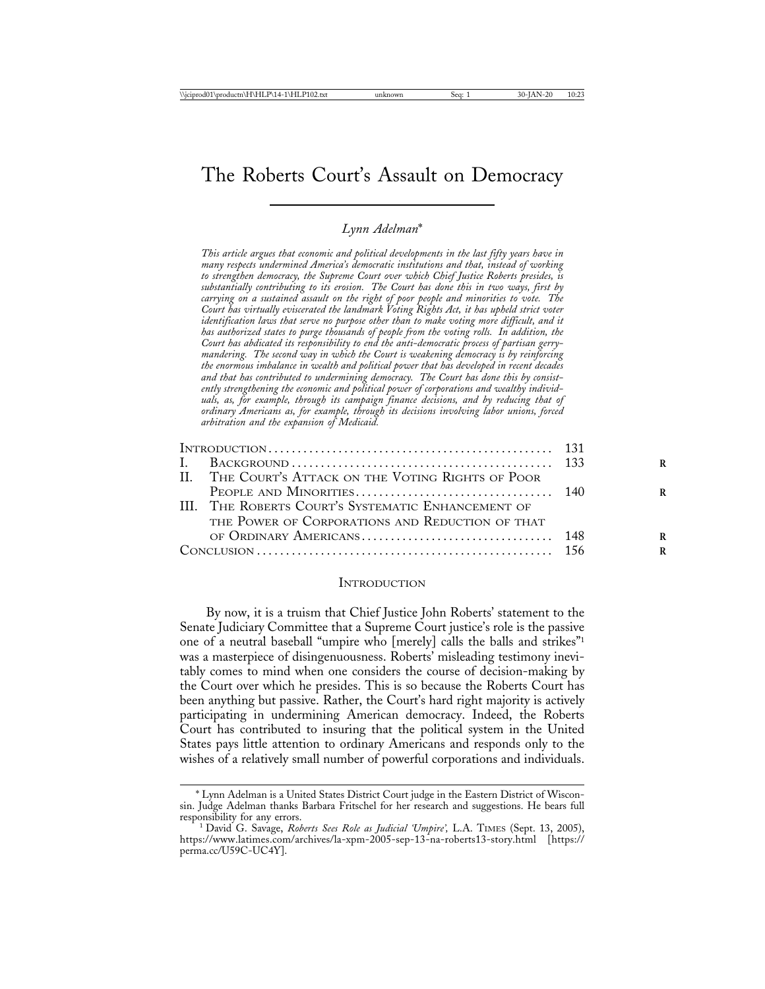# The Roberts Court's Assault on Democracy

#### *Lynn Adelman*\*

*This article argues that economic and political developments in the last fifty years have in many respects undermined America's democratic institutions and that, instead of working to strengthen democracy, the Supreme Court over which Chief Justice Roberts presides, is substantially contributing to its erosion. The Court has done this in two ways, first by carrying on a sustained assault on the right of poor people and minorities to vote. The Court has virtually eviscerated the landmark Voting Rights Act, it has upheld strict voter identification laws that serve no purpose other than to make voting more difficult, and it has authorized states to purge thousands of people from the voting rolls. In addition, the Court has abdicated its responsibility to end the anti-democratic process of partisan gerrymandering. The second way in which the Court is weakening democracy is by reinforcing the enormous imbalance in wealth and political power that has developed in recent decades and that has contributed to undermining democracy. The Court has done this by consistently strengthening the economic and political power of corporations and wealthy individuals, as, for example, through its campaign finance decisions, and by reducing that of ordinary Americans as, for example, through its decisions involving labor unions, forced arbitration and the expansion of Medicaid.*

| II. THE COURT'S ATTACK ON THE VOTING RIGHTS OF POOR |  |
|-----------------------------------------------------|--|
|                                                     |  |
| III. THE ROBERTS COURT'S SYSTEMATIC ENHANCEMENT OF  |  |
| THE POWER OF CORPORATIONS AND REDUCTION OF THAT     |  |
|                                                     |  |
|                                                     |  |
|                                                     |  |

### **INTRODUCTION**

By now, it is a truism that Chief Justice John Roberts' statement to the Senate Judiciary Committee that a Supreme Court justice's role is the passive one of a neutral baseball "umpire who [merely] calls the balls and strikes"1 was a masterpiece of disingenuousness. Roberts' misleading testimony inevitably comes to mind when one considers the course of decision-making by the Court over which he presides. This is so because the Roberts Court has been anything but passive. Rather, the Court's hard right majority is actively participating in undermining American democracy. Indeed, the Roberts Court has contributed to insuring that the political system in the United States pays little attention to ordinary Americans and responds only to the wishes of a relatively small number of powerful corporations and individuals.

<sup>\*</sup> Lynn Adelman is a United States District Court judge in the Eastern District of Wisconsin. Judge Adelman thanks Barbara Fritschel for her research and suggestions. He bears full

<sup>&</sup>lt;sup>1</sup> David G. Savage, *Roberts Sees Role as Judicial 'Umpire'*, L.A. TIMES (Sept. 13, 2005), https://www.latimes.com/archives/la-xpm-2005-sep-13-na-roberts13-story.html [https:// perma.cc/U59C-UC4Y].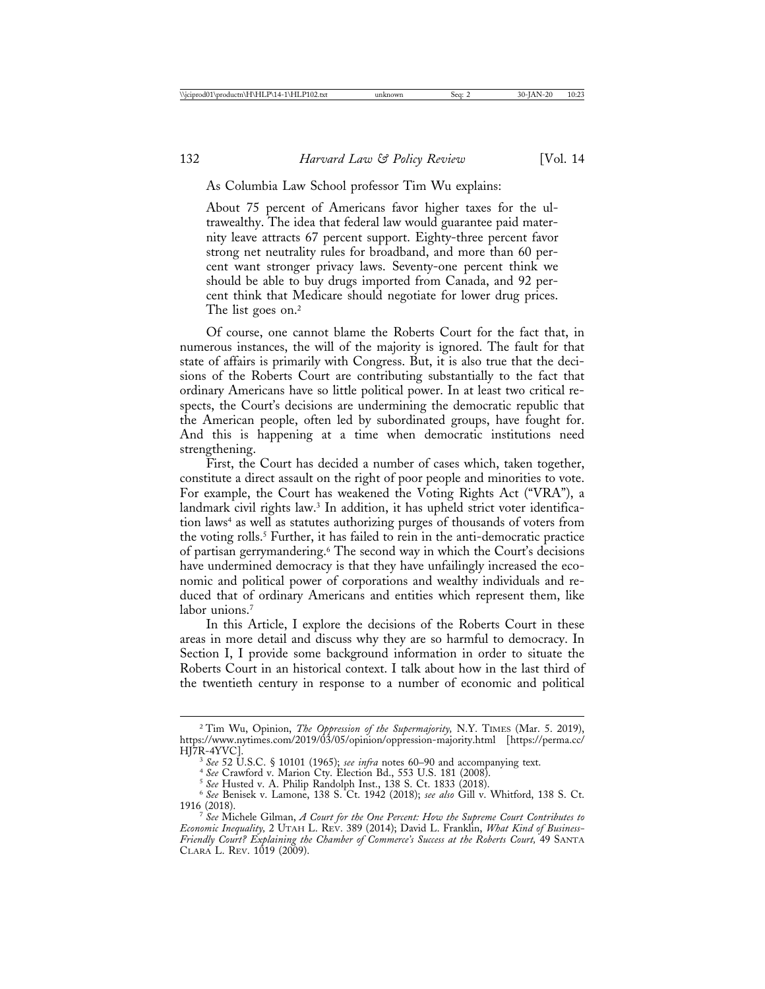#### As Columbia Law School professor Tim Wu explains:

About 75 percent of Americans favor higher taxes for the ultrawealthy. The idea that federal law would guarantee paid maternity leave attracts 67 percent support. Eighty-three percent favor strong net neutrality rules for broadband, and more than 60 percent want stronger privacy laws. Seventy-one percent think we should be able to buy drugs imported from Canada, and 92 percent think that Medicare should negotiate for lower drug prices. The list goes on.<sup>2</sup>

Of course, one cannot blame the Roberts Court for the fact that, in numerous instances, the will of the majority is ignored. The fault for that state of affairs is primarily with Congress. But, it is also true that the decisions of the Roberts Court are contributing substantially to the fact that ordinary Americans have so little political power. In at least two critical respects, the Court's decisions are undermining the democratic republic that the American people, often led by subordinated groups, have fought for. And this is happening at a time when democratic institutions need strengthening.

First, the Court has decided a number of cases which, taken together, constitute a direct assault on the right of poor people and minorities to vote. For example, the Court has weakened the Voting Rights Act ("VRA"), a landmark civil rights law.<sup>3</sup> In addition, it has upheld strict voter identification laws<sup>4</sup> as well as statutes authorizing purges of thousands of voters from the voting rolls.5 Further, it has failed to rein in the anti-democratic practice of partisan gerrymandering.6 The second way in which the Court's decisions have undermined democracy is that they have unfailingly increased the economic and political power of corporations and wealthy individuals and reduced that of ordinary Americans and entities which represent them, like labor unions.<sup>7</sup>

In this Article, I explore the decisions of the Roberts Court in these areas in more detail and discuss why they are so harmful to democracy. In Section I, I provide some background information in order to situate the Roberts Court in an historical context. I talk about how in the last third of the twentieth century in response to a number of economic and political

<sup>2</sup> Tim Wu, Opinion, *The Oppression of the Supermajority,* N.Y. TIMES (Mar. 5. 2019), https://www.nytimes.com/2019/03/05/opinion/oppression-majority.html [https://perma.cc/

<sup>&</sup>lt;sup>3</sup> See 52 U.S.C. § 10101 (1965); see infra notes 60–90 and accompanying text.<br>
<sup>4</sup> See Crawford v. Marion Cty. Election Bd., 553 U.S. 181 (2008).<br>
<sup>5</sup> See Husted v. A. Philip Randolph Inst., 138 S. Ct. 1833 (2018).<br>
<sup>6</sup>

<sup>1916 (2018).</sup> <sup>7</sup> *See* Michele Gilman, *A Court for the One Percent: How the Supreme Court Contributes to Economic Inequality,* 2 UTAH L. REV. 389 (2014); David L. Franklin, *What Kind of Business-Friendly Court? Explaining the Chamber of Commerce's Success at the Roberts Court,* 49 SANTA CLARA L. REV. 1019 (2009).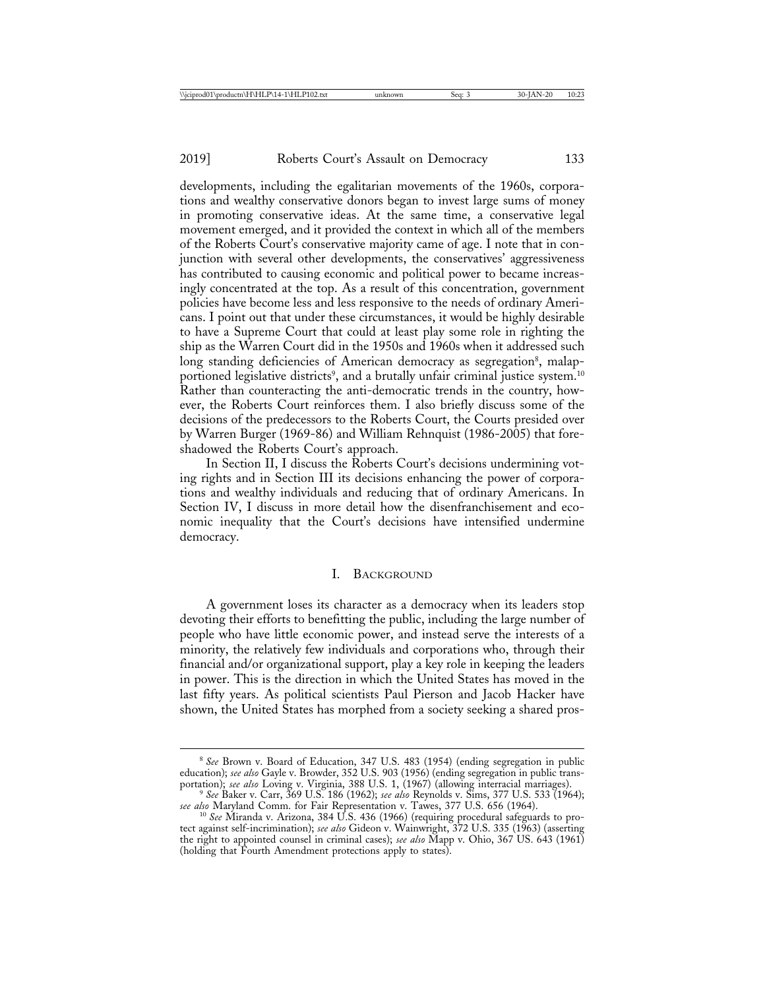developments, including the egalitarian movements of the 1960s, corporations and wealthy conservative donors began to invest large sums of money in promoting conservative ideas. At the same time, a conservative legal movement emerged, and it provided the context in which all of the members of the Roberts Court's conservative majority came of age. I note that in conjunction with several other developments, the conservatives' aggressiveness has contributed to causing economic and political power to became increasingly concentrated at the top. As a result of this concentration, government policies have become less and less responsive to the needs of ordinary Americans. I point out that under these circumstances, it would be highly desirable to have a Supreme Court that could at least play some role in righting the ship as the Warren Court did in the 1950s and 1960s when it addressed such long standing deficiencies of American democracy as segregation<sup>8</sup>, malapportioned legislative districts<sup>9</sup>, and a brutally unfair criminal justice system.<sup>10</sup> Rather than counteracting the anti-democratic trends in the country, however, the Roberts Court reinforces them. I also briefly discuss some of the decisions of the predecessors to the Roberts Court, the Courts presided over by Warren Burger (1969-86) and William Rehnquist (1986-2005) that foreshadowed the Roberts Court's approach.

In Section II, I discuss the Roberts Court's decisions undermining voting rights and in Section III its decisions enhancing the power of corporations and wealthy individuals and reducing that of ordinary Americans. In Section IV, I discuss in more detail how the disenfranchisement and economic inequality that the Court's decisions have intensified undermine democracy.

#### I. BACKGROUND

A government loses its character as a democracy when its leaders stop devoting their efforts to benefitting the public, including the large number of people who have little economic power, and instead serve the interests of a minority, the relatively few individuals and corporations who, through their financial and/or organizational support, play a key role in keeping the leaders in power. This is the direction in which the United States has moved in the last fifty years. As political scientists Paul Pierson and Jacob Hacker have shown, the United States has morphed from a society seeking a shared pros-

<sup>8</sup> *See* Brown v. Board of Education, 347 U.S. 483 (1954) (ending segregation in public education); *see also* Gayle v. Browder, 352 U.S. 903 (1956) (ending segregation in public trans-

portation); *see also* Loving v. Virginia, 388 U.S. 1, (1967) (allowing interracial marriages). <sup>9</sup> *See* Baker v. Carr, 369 U.S. 186 (1962); *see also* Reynolds v. Sims, 377 U.S. 533 (1964);

*see also* Maryland Comm. for Fair Representation v. Tawes, 377 U.S. 656 (1964). <sup>10</sup> *See* Miranda v. Arizona, 384 U.S. 436 (1966) (requiring procedural safeguards to protect against self-incrimination); *see also* Gideon v. Wainwright, 372 U.S. 335 (1963) (asserting the right to appointed counsel in criminal cases); *see also* Mapp v. Ohio, 367 US. 643 (1961) (holding that Fourth Amendment protections apply to states).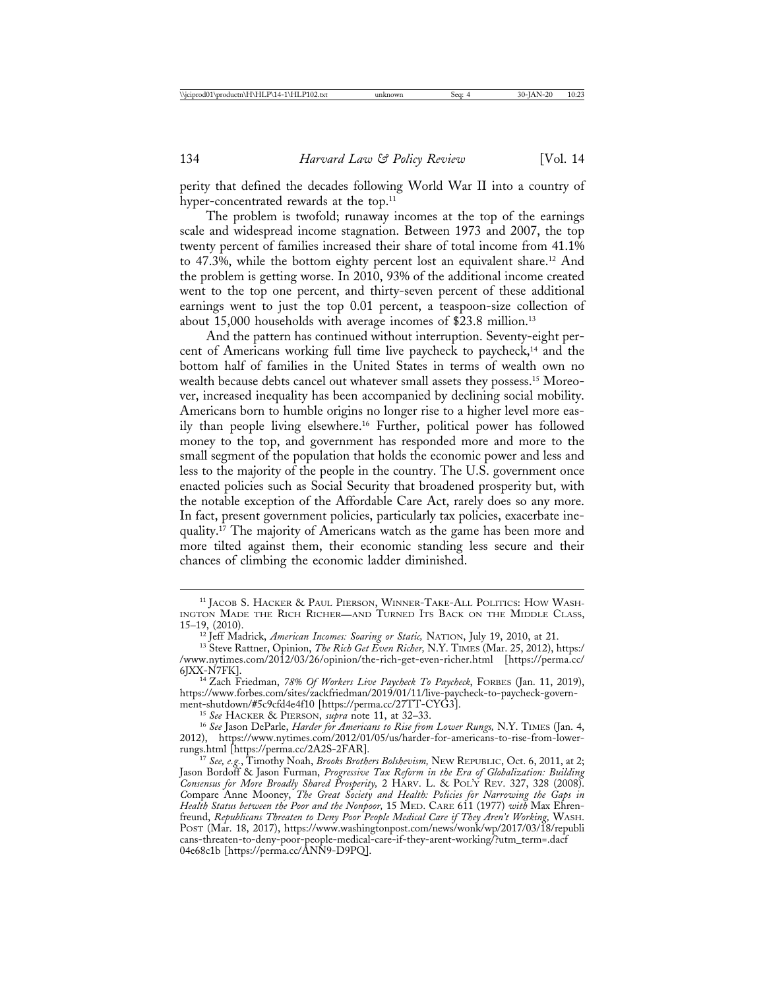perity that defined the decades following World War II into a country of hyper-concentrated rewards at the top.<sup>11</sup>

The problem is twofold; runaway incomes at the top of the earnings scale and widespread income stagnation. Between 1973 and 2007, the top twenty percent of families increased their share of total income from 41.1% to 47.3%, while the bottom eighty percent lost an equivalent share.12 And the problem is getting worse. In 2010, 93% of the additional income created went to the top one percent, and thirty-seven percent of these additional earnings went to just the top 0.01 percent, a teaspoon-size collection of about 15,000 households with average incomes of \$23.8 million.13

And the pattern has continued without interruption. Seventy-eight percent of Americans working full time live paycheck to paycheck,<sup>14</sup> and the bottom half of families in the United States in terms of wealth own no wealth because debts cancel out whatever small assets they possess.15 Moreover, increased inequality has been accompanied by declining social mobility. Americans born to humble origins no longer rise to a higher level more easily than people living elsewhere.16 Further, political power has followed money to the top, and government has responded more and more to the small segment of the population that holds the economic power and less and less to the majority of the people in the country. The U.S. government once enacted policies such as Social Security that broadened prosperity but, with the notable exception of the Affordable Care Act, rarely does so any more. In fact, present government policies, particularly tax policies, exacerbate inequality.<sup>17</sup> The majority of Americans watch as the game has been more and more tilted against them, their economic standing less secure and their chances of climbing the economic ladder diminished.

<sup>11</sup> JACOB S. HACKER & PAUL PIERSON, WINNER-TAKE-ALL POLITICS: HOW WASH-INGTON MADE THE RICH RICHER—AND TURNED ITS BACK ON THE MIDDLE CLASS, 15–19, (2010).<br><sup>12</sup> Jeff Madrick, *American Incomes: Soaring or Static*, NATION, July 19, 2010, at 21.

<sup>&</sup>lt;sup>13</sup> Steve Rattner, Opinion, *The Rich Get Even Richer*, N.Y. TIMES (Mar. 25, 2012), https:/ /www.nytimes.com/2012/03/26/opinion/the-rich-get-even-richer.html [https://perma.cc/

<sup>6</sup>JXX-N7FK]. <sup>14</sup> Zach Friedman, *78% Of Workers Live Paycheck To Paycheck*, FORBES (Jan. 11, 2019), https://www.forbes.com/sites/zackfriedman/2019/01/11/live-paycheck-to-paycheck-govern-

<sup>&</sup>lt;sup>15</sup> See HACKER & PIERSON, *supra* note 11, at 32–33. 16 *See Jason DeParle, Harder for Americans to Rise from Lower Rungs*, N.Y. TIMES (Jan. 4, 2012), https://www.nytimes.com/2012/01/05/us/harder-for-americans-to-rise-from-lower-

rungs.html [https://perma.cc/2A2S-2FAR]. <sup>17</sup> *See, e.g.*, Timothy Noah, *Brooks Brothers Bolshevism,* NEW REPUBLIC, Oct. 6, 2011, at 2; Jason Bordoff & Jason Furman, *Progressive Tax Reform in the Era of Globalization: Building Consensus for More Broadly Shared Prosperity,* 2 HARV. L. & POL'Y REV. 327, 328 (2008). *C*ompare Anne Mooney, *The Great Society and Health: Policies for Narrowing the Gaps in Health Status between the Poor and the Nonpoor,* 15 MED. CARE 611 (1977) *with* Max Ehrenfreund, *Republicans Threaten to Deny Poor People Medical Care if They Aren't Working,* WASH. POST (Mar. 18, 2017), https://www.washingtonpost.com/news/wonk/wp/2017/03/18/republi cans-threaten-to-deny-poor-people-medical-care-if-they-arent-working/?utm\_term=.dacf 04e68c1b [https://perma.cc/ANN9-D9PQ].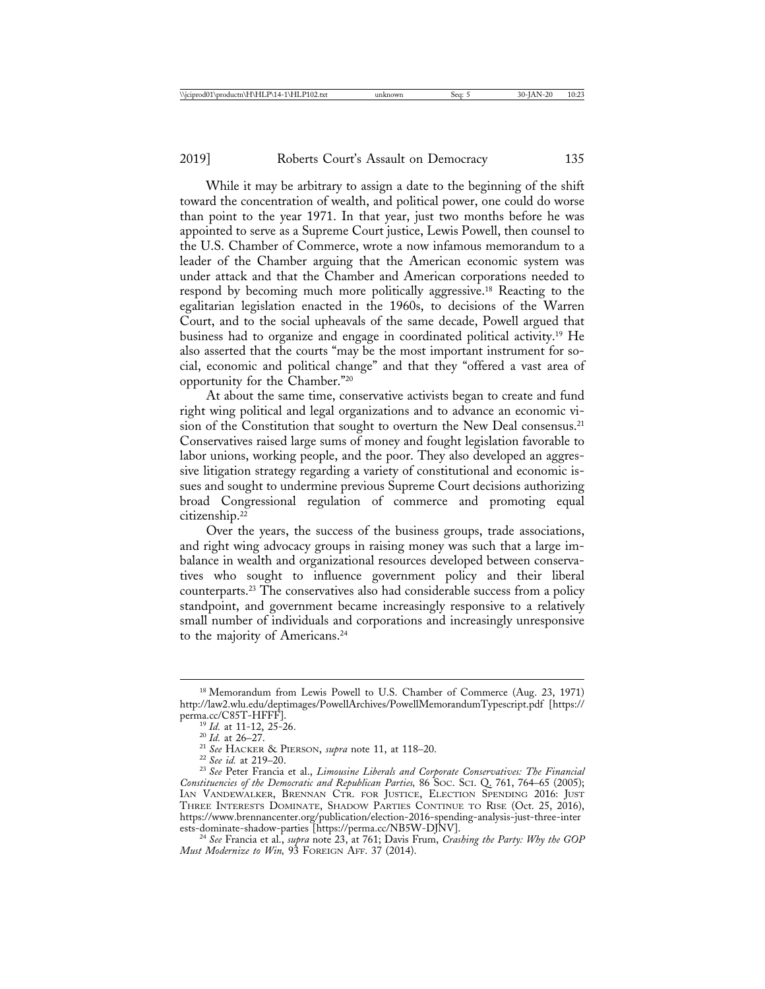While it may be arbitrary to assign a date to the beginning of the shift toward the concentration of wealth, and political power, one could do worse than point to the year 1971. In that year, just two months before he was appointed to serve as a Supreme Court justice, Lewis Powell, then counsel to the U.S. Chamber of Commerce, wrote a now infamous memorandum to a leader of the Chamber arguing that the American economic system was under attack and that the Chamber and American corporations needed to respond by becoming much more politically aggressive.18 Reacting to the egalitarian legislation enacted in the 1960s, to decisions of the Warren Court, and to the social upheavals of the same decade, Powell argued that business had to organize and engage in coordinated political activity.19 He also asserted that the courts "may be the most important instrument for social, economic and political change" and that they "offered a vast area of opportunity for the Chamber."20

At about the same time, conservative activists began to create and fund right wing political and legal organizations and to advance an economic vision of the Constitution that sought to overturn the New Deal consensus.<sup>21</sup> Conservatives raised large sums of money and fought legislation favorable to labor unions, working people, and the poor. They also developed an aggressive litigation strategy regarding a variety of constitutional and economic issues and sought to undermine previous Supreme Court decisions authorizing broad Congressional regulation of commerce and promoting equal citizenship.22

Over the years, the success of the business groups, trade associations, and right wing advocacy groups in raising money was such that a large imbalance in wealth and organizational resources developed between conservatives who sought to influence government policy and their liberal counterparts.23 The conservatives also had considerable success from a policy standpoint, and government became increasingly responsive to a relatively small number of individuals and corporations and increasingly unresponsive to the majority of Americans.<sup>24</sup>

<sup>&</sup>lt;sup>18</sup> Memorandum from Lewis Powell to U.S. Chamber of Commerce (Aug. 23, 1971) http://law2.wlu.edu/deptimages/PowellArchives/PowellMemorandumTypescript.pdf [https://

perma.cc/C85T-HFFF].<br><sup>19</sup> Id. at 11-12, 25-26.<br><sup>20</sup> Id. at 26–27.<br><sup>21</sup> See HACKER & PIERSON, *supra* note 11, at 118–20.<br><sup>22</sup> See id. at 219–20.<br><sup>23</sup> See Peter Francia et al., *Limousine Liberals and Corporate Conservative Constituencies of the Democratic and Republican Parties,* 86 SOC. SCI. Q. 761, 764–65 (2005); IAN VANDEWALKER, BRENNAN CTR. FOR JUSTICE, ELECTION SPENDING 2016: JUST THREE INTERESTS DOMINATE, SHADOW PARTIES CONTINUE TO RISE (Oct. 25, 2016), https://www.brennancenter.org/publication/election-2016-spending-analysis-just-three-inter

<sup>&</sup>lt;sup>24</sup> See Francia et al., *supra* note 23, at 761; Davis Frum, *Crashing the Party: Why the GOP Must Modernize to Win,* 93 FOREIGN AFF. 37 (2014).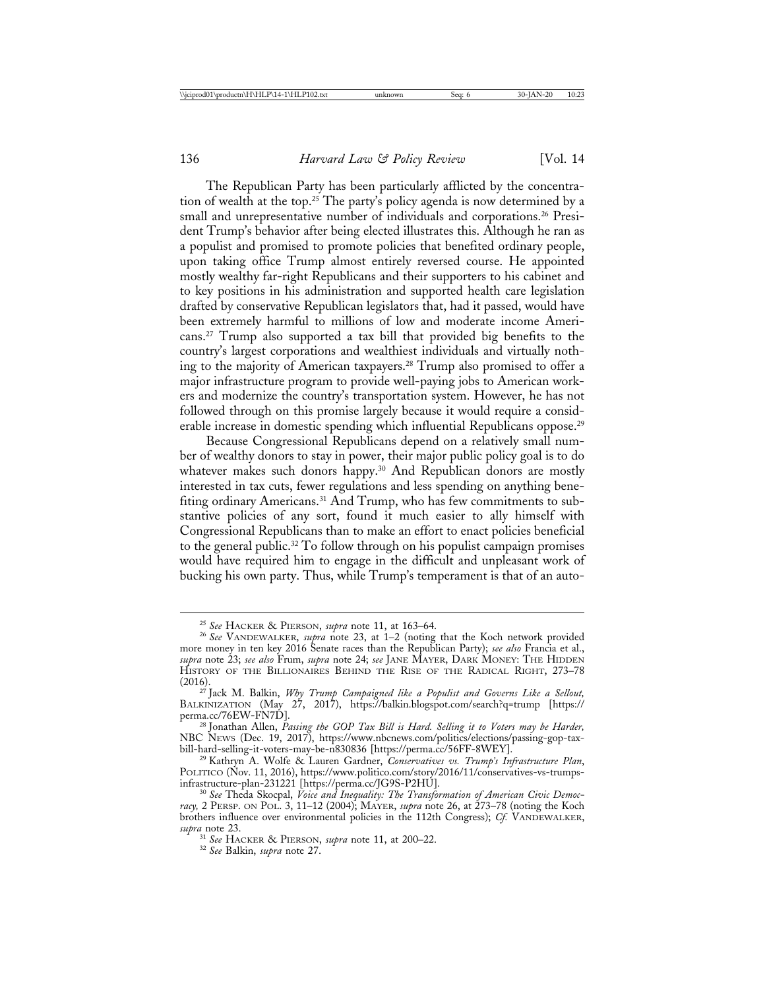The Republican Party has been particularly afflicted by the concentration of wealth at the top.25 The party's policy agenda is now determined by a small and unrepresentative number of individuals and corporations.<sup>26</sup> President Trump's behavior after being elected illustrates this. Although he ran as a populist and promised to promote policies that benefited ordinary people, upon taking office Trump almost entirely reversed course. He appointed mostly wealthy far-right Republicans and their supporters to his cabinet and to key positions in his administration and supported health care legislation drafted by conservative Republican legislators that, had it passed, would have been extremely harmful to millions of low and moderate income Americans.27 Trump also supported a tax bill that provided big benefits to the country's largest corporations and wealthiest individuals and virtually nothing to the majority of American taxpayers.28 Trump also promised to offer a major infrastructure program to provide well-paying jobs to American workers and modernize the country's transportation system. However, he has not followed through on this promise largely because it would require a considerable increase in domestic spending which influential Republicans oppose.<sup>29</sup>

Because Congressional Republicans depend on a relatively small number of wealthy donors to stay in power, their major public policy goal is to do whatever makes such donors happy.<sup>30</sup> And Republican donors are mostly interested in tax cuts, fewer regulations and less spending on anything benefiting ordinary Americans.31 And Trump, who has few commitments to substantive policies of any sort, found it much easier to ally himself with Congressional Republicans than to make an effort to enact policies beneficial to the general public.32 To follow through on his populist campaign promises would have required him to engage in the difficult and unpleasant work of bucking his own party. Thus, while Trump's temperament is that of an auto-

<sup>25</sup> *See* HACKER & PIERSON, *supra* note 11, at 163–64. <sup>26</sup> *See* VANDEWALKER, *supra* note 23, at 1–2 (noting that the Koch network provided more money in ten key 2016 Senate races than the Republican Party); *see also* Francia et al., *supra* note 23; *see also* Frum, *supra* note 24; *see* JANE MAYER, DARK MONEY: THE HIDDEN HISTORY OF THE BILLIONAIRES BEHIND THE RISE OF THE RADICAL RIGHT, 273–78 (2016). (2016). <sup>27</sup> Jack M. Balkin, *Why Trump Campaigned like a Populist and Governs Like a Sellout,*

BALKINIZATION (May 27, 2017), https://balkin.blogspot.com/search?q=trump [https://

perma.cc/76EW-FN7D]. <sup>28</sup> Jonathan Allen, *Passing the GOP Tax Bill is Hard. Selling it to Voters may be Harder,* NBC NEWS (Dec. 19, 2017), https://www.nbcnews.com/politics/elections/passing-gop-tax-

bill-hard-selling-it-voters-may-be-n830836 [https://perma.cc/56FF-8WEY]. <sup>29</sup> Kathryn A. Wolfe & Lauren Gardner, *Conservatives vs. Trump's Infrastructure Plan*, POLITICO (Nov. 11, 2016), https://www.politico.com/story/2016/11/conservatives-vs-trumps-

infrastructure-plan-231221 [https://perma.cc/JG9S-P2HU]. <sup>30</sup> *See* Theda Skocpal, *Voice and Inequality: The Transformation of American Civic Democracy,* 2 PERSP. ON POL. 3, 11–12 (2004); MAYER, *supra* note 26, at 273–78 (noting the Koch brothers influence over environmental policies in the 112th Congress); *Cf.* VANDEWALKER, *supra* note 23.

<sup>31</sup> *See* HACKER & PIERSON, *supra* note 11, at 200–22. <sup>32</sup> *See* Balkin, *supra* note 27.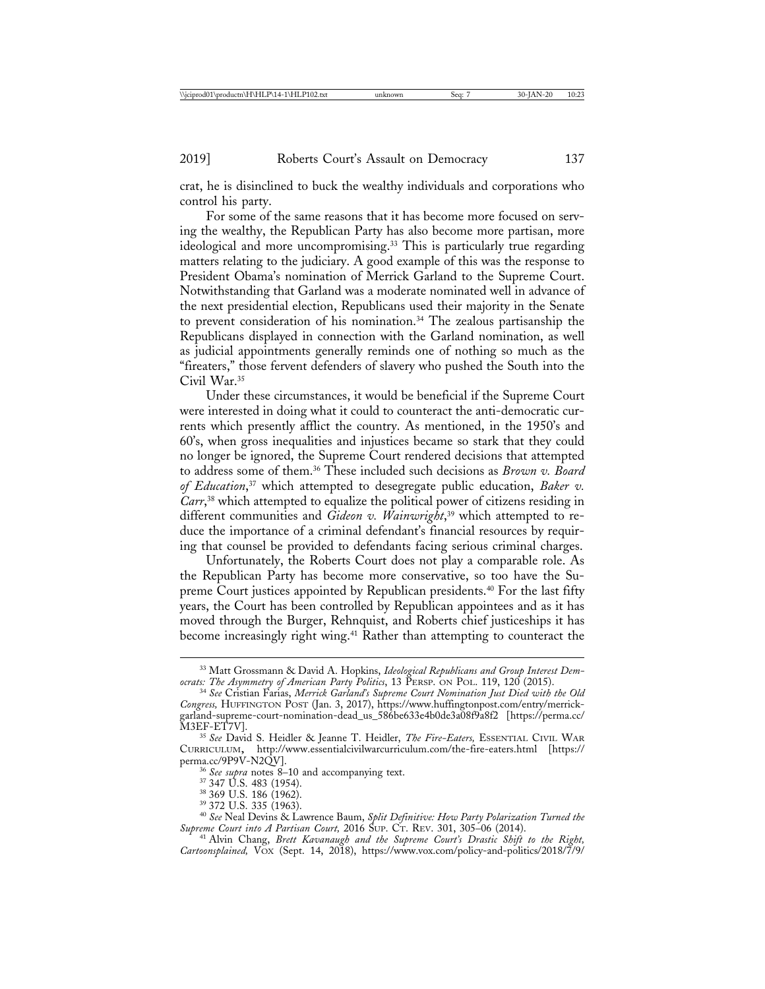crat, he is disinclined to buck the wealthy individuals and corporations who control his party.

For some of the same reasons that it has become more focused on serving the wealthy, the Republican Party has also become more partisan, more ideological and more uncompromising.33 This is particularly true regarding matters relating to the judiciary. A good example of this was the response to President Obama's nomination of Merrick Garland to the Supreme Court. Notwithstanding that Garland was a moderate nominated well in advance of the next presidential election, Republicans used their majority in the Senate to prevent consideration of his nomination.34 The zealous partisanship the Republicans displayed in connection with the Garland nomination, as well as judicial appointments generally reminds one of nothing so much as the "fireaters," those fervent defenders of slavery who pushed the South into the Civil War.35

Under these circumstances, it would be beneficial if the Supreme Court were interested in doing what it could to counteract the anti-democratic currents which presently afflict the country. As mentioned, in the 1950's and 60's, when gross inequalities and injustices became so stark that they could no longer be ignored, the Supreme Court rendered decisions that attempted to address some of them.36 These included such decisions as *Brown v. Board of Education*, 37 which attempted to desegregate public education, *Baker v. Carr*, 38 which attempted to equalize the political power of citizens residing in different communities and *Gideon v. Wainwright*, 39 which attempted to reduce the importance of a criminal defendant's financial resources by requiring that counsel be provided to defendants facing serious criminal charges.

Unfortunately, the Roberts Court does not play a comparable role. As the Republican Party has become more conservative, so too have the Supreme Court justices appointed by Republican presidents.40 For the last fifty years, the Court has been controlled by Republican appointees and as it has moved through the Burger, Rehnquist, and Roberts chief justiceships it has become increasingly right wing.41 Rather than attempting to counteract the

<sup>&</sup>lt;sup>33</sup> Matt Grossmann & David A. Hopkins, *Ideological Republicans and Group Interest Dem-*<br>*ocrats: The Asymmetry of American Party Politics*, 13 PERSP. ON POL. 119, 120 (2015).

<sup>&</sup>lt;sup>34</sup> See Cristian Farias, Merrick Garland's Supreme Court Nomination Just Died with the Old *Congress,* HUFFINGTON POST (Jan. 3, 2017), https://www.huffingtonpost.com/entry/merrickgarland-supreme-court-nomination-dead\_us\_586be633e4b0de3a08f9a8f2 [https://perma.cc/

<sup>&</sup>lt;sup>35</sup> See David S. Heidler & Jeanne T. Heidler, *The Fire-Eaters*, ESSENTIAL CIVIL WAR CURRICULUM, http://www.essentialcivilwarcurriculum.com/the-fire-eaters.html [https://

<sup>&</sup>lt;sup>36</sup> See supra notes 8–10 and accompanying text.<br><sup>37</sup> 347 U.S. 483 (1954).<br><sup>38</sup> 369 U.S. 186 (1962).<br><sup>39</sup> 372 U.S. 335 (1963).<br><sup>40</sup> See Neal Devins & Lawrence Baum, *Split Definitive: How Party Polarization Turned the*<br>Su

<sup>&</sup>lt;sup>41</sup> Alvin Chang, *Brett Kavanaugh and the Supreme Court's Drastic Shift to the Right*, Cartoonsplained, VO<sub>X</sub> (Sept. 14, 2018), https://www.vox.com/policy-and-politics/2018/7/9/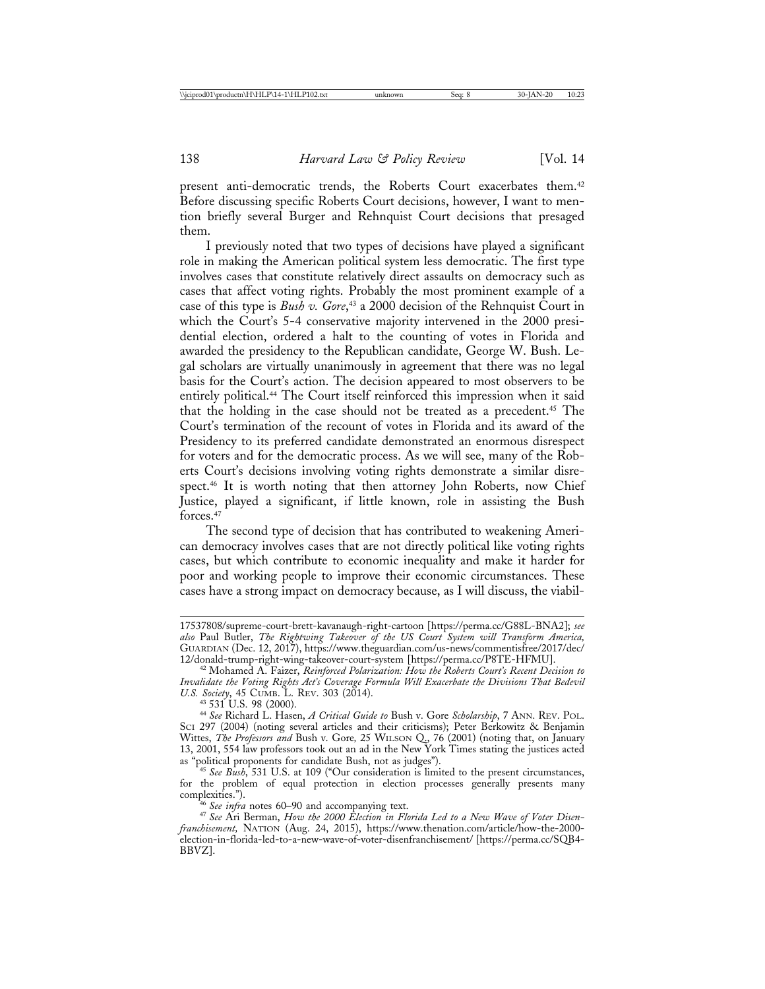present anti-democratic trends, the Roberts Court exacerbates them.<sup>42</sup> Before discussing specific Roberts Court decisions, however, I want to mention briefly several Burger and Rehnquist Court decisions that presaged them.

I previously noted that two types of decisions have played a significant role in making the American political system less democratic. The first type involves cases that constitute relatively direct assaults on democracy such as cases that affect voting rights. Probably the most prominent example of a case of this type is *Bush v. Gore*, 43 a 2000 decision of the Rehnquist Court in which the Court's 5-4 conservative majority intervened in the 2000 presidential election, ordered a halt to the counting of votes in Florida and awarded the presidency to the Republican candidate, George W. Bush. Legal scholars are virtually unanimously in agreement that there was no legal basis for the Court's action. The decision appeared to most observers to be entirely political.44 The Court itself reinforced this impression when it said that the holding in the case should not be treated as a precedent.45 The Court's termination of the recount of votes in Florida and its award of the Presidency to its preferred candidate demonstrated an enormous disrespect for voters and for the democratic process. As we will see, many of the Roberts Court's decisions involving voting rights demonstrate a similar disrespect.<sup>46</sup> It is worth noting that then attorney John Roberts, now Chief Justice, played a significant, if little known, role in assisting the Bush forces<sup>47</sup>

The second type of decision that has contributed to weakening American democracy involves cases that are not directly political like voting rights cases, but which contribute to economic inequality and make it harder for poor and working people to improve their economic circumstances. These cases have a strong impact on democracy because, as I will discuss, the viabil-

<sup>17537808/</sup>supreme-court-brett-kavanaugh-right-cartoon [https://perma.cc/G88L-BNA2]; *see also* Paul Butler, *The Rightwing Takeover of the US Court System will Transform America,* GUARDIAN (Dec. 12, 2017), https://www.theguardian.com/us-news/commentisfree/2017/dec/

<sup>&</sup>lt;sup>42</sup> Mohamed A. Faizer, Reinforced Polarization: How the Roberts Court's Recent Decision to *Invalidate the Voting Rights Act's Coverage Formula Will Exacerbate the Divisions That Bedevil*

*U.S. Society*, 45 CUMB. L. REV. 303 (2014). <sup>43</sup> 531 U.S. 98 (2000). <sup>44</sup> *See* Richard L. Hasen, *A Critical Guide to* Bush v. Gore *Scholarship*, 7 ANN. REV. POL. SCI 297 (2004) (noting several articles and their criticisms); Peter Berkowitz & Benjamin Wittes, *The Professors and* Bush v. Gore*,* 25 WILSON Q., 76 (2001) (noting that, on January 13, 2001, 554 law professors took out an ad in the New York Times stating the justices acted as "political proponents for candidate Bush, not as judges"). <sup>45</sup> *See Bush*, 531 U.S. at 109 ("Our consideration is limited to the present circumstances,

for the problem of equal protection in election processes generally presents many complexities."). <sup>46</sup> *See infra* notes 60–90 and accompanying text. <sup>47</sup> *See* Ari Berman, *How the 2000 Election in Florida Led to a New Wave of Voter Disen-*

*franchisement,* NATION (Aug. 24, 2015), https://www.thenation.com/article/how-the-2000 election-in-florida-led-to-a-new-wave-of-voter-disenfranchisement/ [https://perma.cc/SQB4- BBVZ].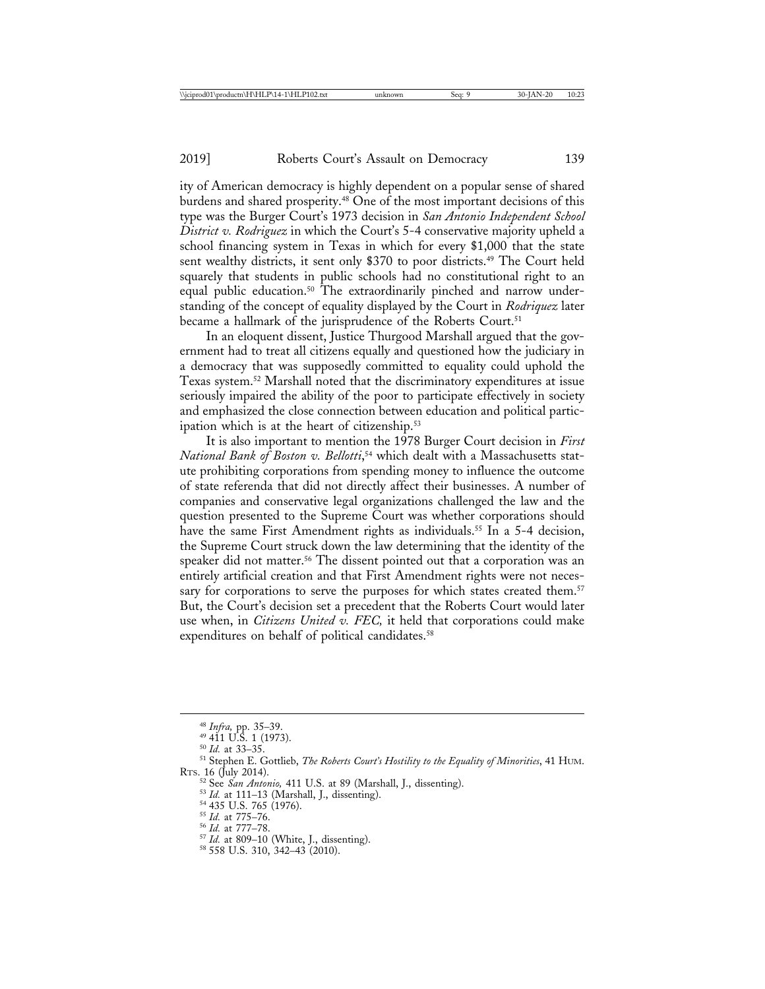ity of American democracy is highly dependent on a popular sense of shared burdens and shared prosperity.48 One of the most important decisions of this type was the Burger Court's 1973 decision in *San Antonio Independent School District v. Rodriguez* in which the Court's 5-4 conservative majority upheld a school financing system in Texas in which for every \$1,000 that the state sent wealthy districts, it sent only \$370 to poor districts.<sup>49</sup> The Court held squarely that students in public schools had no constitutional right to an equal public education.<sup>50</sup> The extraordinarily pinched and narrow understanding of the concept of equality displayed by the Court in *Rodriquez* later became a hallmark of the jurisprudence of the Roberts Court.<sup>51</sup>

In an eloquent dissent, Justice Thurgood Marshall argued that the government had to treat all citizens equally and questioned how the judiciary in a democracy that was supposedly committed to equality could uphold the Texas system.52 Marshall noted that the discriminatory expenditures at issue seriously impaired the ability of the poor to participate effectively in society and emphasized the close connection between education and political participation which is at the heart of citizenship.<sup>53</sup>

It is also important to mention the 1978 Burger Court decision in *First National Bank of Boston v. Bellotti*, 54 which dealt with a Massachusetts statute prohibiting corporations from spending money to influence the outcome of state referenda that did not directly affect their businesses. A number of companies and conservative legal organizations challenged the law and the question presented to the Supreme Court was whether corporations should have the same First Amendment rights as individuals.<sup>55</sup> In a 5-4 decision, the Supreme Court struck down the law determining that the identity of the speaker did not matter.<sup>56</sup> The dissent pointed out that a corporation was an entirely artificial creation and that First Amendment rights were not necessary for corporations to serve the purposes for which states created them.<sup>57</sup> But, the Court's decision set a precedent that the Roberts Court would later use when, in *Citizens United v. FEC,* it held that corporations could make expenditures on behalf of political candidates.<sup>58</sup>

<sup>&</sup>lt;sup>48</sup> *Infra*, pp. 35–39.<br><sup>49</sup> 411 U.S. 1 (1973).<br><sup>50</sup> *Id.* at 33–35.<br><sup>51</sup> Stephen E. Gottlieb, *The Roberts Court's Hostility to the Equality of Minorities*, 41 HUM. RTS. 16 (July 2014).

<sup>&</sup>lt;sup>52</sup> See *San Antonio*, 411 U.S. at 89 (Marshall, J., dissenting).<br><sup>53</sup> Id. at 111–13 (Marshall, J., dissenting).<br><sup>54</sup> 435 U.S. 765 (1976).<br><sup>55</sup> Id. at 775–76.<br><sup>55</sup> Id. at 777–78.<br><sup>57</sup> Id. at 809–10 (White, J., dissenting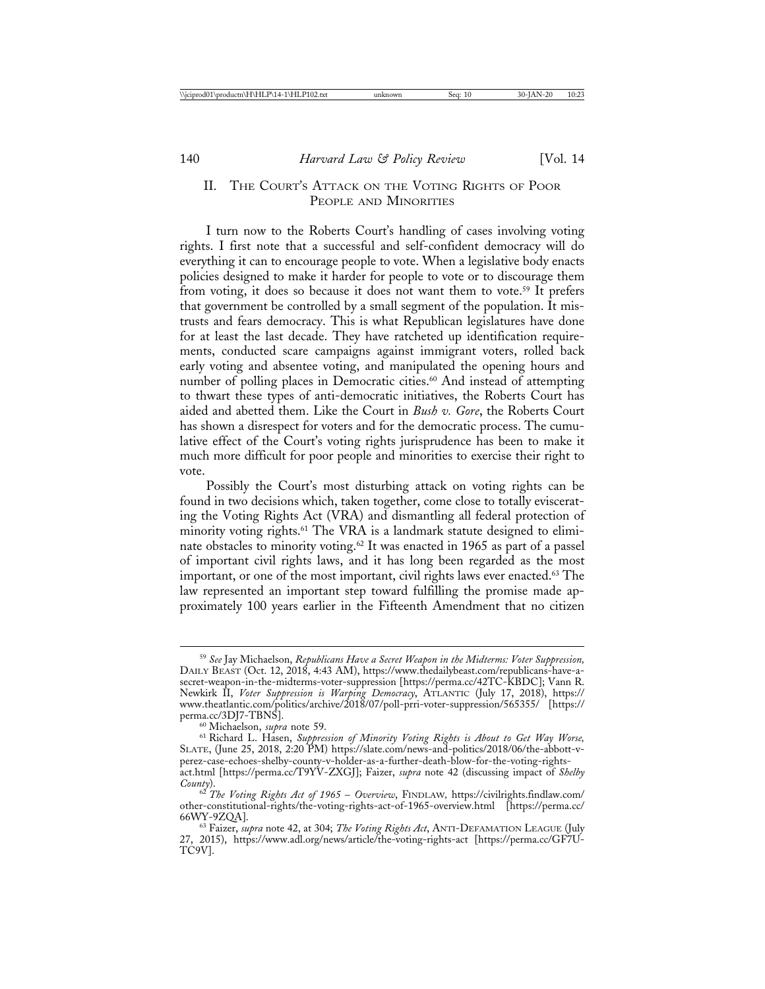## II. THE COURT'S ATTACK ON THE VOTING RIGHTS OF POOR PEOPLE AND MINORITIES

I turn now to the Roberts Court's handling of cases involving voting rights. I first note that a successful and self-confident democracy will do everything it can to encourage people to vote. When a legislative body enacts policies designed to make it harder for people to vote or to discourage them from voting, it does so because it does not want them to vote.<sup>59</sup> It prefers that government be controlled by a small segment of the population. It mistrusts and fears democracy. This is what Republican legislatures have done for at least the last decade. They have ratcheted up identification requirements, conducted scare campaigns against immigrant voters, rolled back early voting and absentee voting, and manipulated the opening hours and number of polling places in Democratic cities.<sup>60</sup> And instead of attempting to thwart these types of anti-democratic initiatives, the Roberts Court has aided and abetted them. Like the Court in *Bush v. Gore*, the Roberts Court has shown a disrespect for voters and for the democratic process. The cumulative effect of the Court's voting rights jurisprudence has been to make it much more difficult for poor people and minorities to exercise their right to vote.

Possibly the Court's most disturbing attack on voting rights can be found in two decisions which, taken together, come close to totally eviscerating the Voting Rights Act (VRA) and dismantling all federal protection of minority voting rights.<sup>61</sup> The VRA is a landmark statute designed to eliminate obstacles to minority voting.<sup>62</sup> It was enacted in 1965 as part of a passel of important civil rights laws, and it has long been regarded as the most important, or one of the most important, civil rights laws ever enacted.<sup>63</sup> The law represented an important step toward fulfilling the promise made approximately 100 years earlier in the Fifteenth Amendment that no citizen

<sup>59</sup> *See* Jay Michaelson, *Republicans Have a Secret Weapon in the Midterms: Voter Suppression,* DAILY BEAST (Oct. 12, 2018, 4:43 AM), https://www.thedailybeast.com/republicans-have-asecret-weapon-in-the-midterms-voter-suppression [https://perma.cc/42TC-KBDC]; Vann R. Newkirk II, *Voter Suppression is Warping Democracy*, ATLANTIC (July 17, 2018), https:// www.theatlantic.com/politics/archive/2018/07/poll-prri-voter-suppression/565355/ [https:// perma.cc/3DJ7-TBNS]. <sup>60</sup> Michaelson, *supra* note 59. <sup>61</sup> Richard L. Hasen, *Suppression of Minority Voting Rights is About to Get Way Worse,*

SLATE, (June 25, 2018, 2:20 PM) https://slate.com/news-and-politics/2018/06/the-abbott-vperez-case-echoes-shelby-county-v-holder-as-a-further-death-blow-for-the-voting-rightsact.html [https://perma.cc/T9YV-ZXGJ]; Faizer, *supra* note 42 (discussing impact of *Shelby*

*County*). <sup>62</sup> *The Voting Rights Act of 1965* – *Overview*, FINDLAW*,* https://civilrights.findlaw.com/ other-constitutional-rights/the-voting-rights-act-of-1965-overview.html [https://perma.cc/

<sup>63</sup> Faizer, *supra* note 42, at 304; *The Voting Rights Act*, ANTI-DEFAMATION LEAGUE (July 27, 2015), https://www.adl.org/news/article/the-voting-rights-act [https://perma.cc/GF7U-TC9V].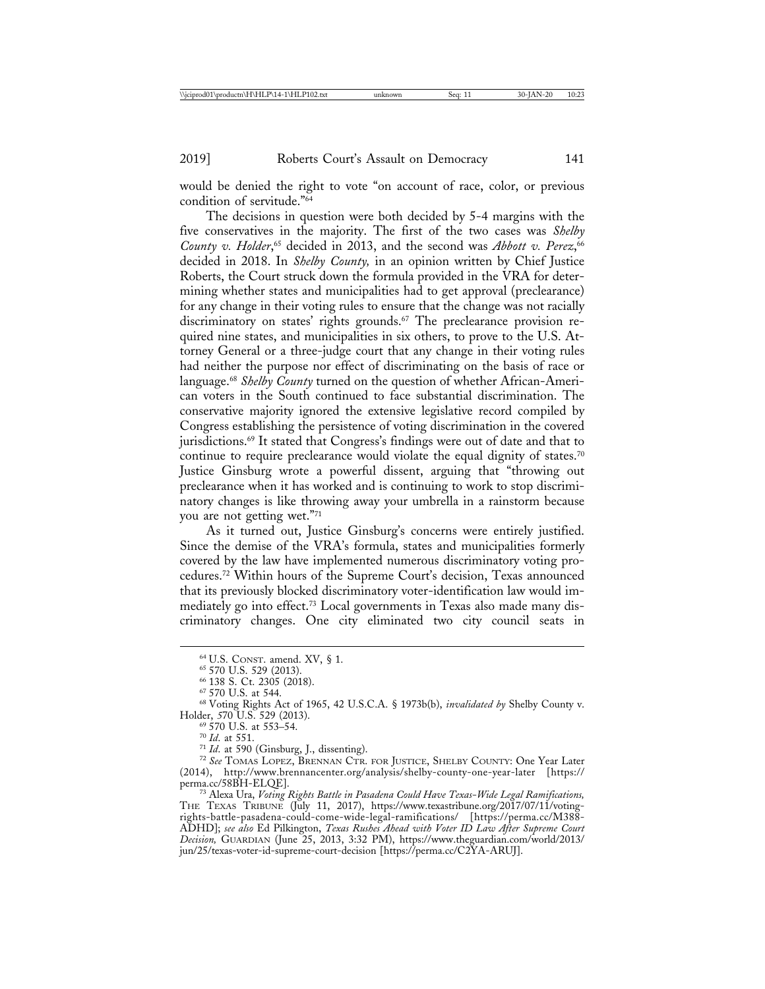would be denied the right to vote "on account of race, color, or previous condition of servitude."64

The decisions in question were both decided by 5-4 margins with the five conservatives in the majority. The first of the two cases was *Shelby* County v. Holder,<sup>65</sup> decided in 2013, and the second was *Abbott v. Perez*,<sup>66</sup> decided in 2018. In *Shelby County,* in an opinion written by Chief Justice Roberts, the Court struck down the formula provided in the VRA for determining whether states and municipalities had to get approval (preclearance) for any change in their voting rules to ensure that the change was not racially discriminatory on states' rights grounds.<sup>67</sup> The preclearance provision required nine states, and municipalities in six others, to prove to the U.S. Attorney General or a three-judge court that any change in their voting rules had neither the purpose nor effect of discriminating on the basis of race or language.68 *Shelby County* turned on the question of whether African-American voters in the South continued to face substantial discrimination. The conservative majority ignored the extensive legislative record compiled by Congress establishing the persistence of voting discrimination in the covered jurisdictions.69 It stated that Congress's findings were out of date and that to continue to require preclearance would violate the equal dignity of states.70 Justice Ginsburg wrote a powerful dissent, arguing that "throwing out preclearance when it has worked and is continuing to work to stop discriminatory changes is like throwing away your umbrella in a rainstorm because you are not getting wet."71

As it turned out, Justice Ginsburg's concerns were entirely justified. Since the demise of the VRA's formula, states and municipalities formerly covered by the law have implemented numerous discriminatory voting procedures.72 Within hours of the Supreme Court's decision, Texas announced that its previously blocked discriminatory voter-identification law would immediately go into effect.73 Local governments in Texas also made many discriminatory changes. One city eliminated two city council seats in

<sup>69</sup> 570 U.S. at 553–54.<br><sup>70</sup> *Id.* at 551.<br><sup>71</sup> *Id.* at 590 (Ginsburg, J., dissenting).<br><sup>72</sup> *See* TOMAS LOPEZ, BRENNAN CTR. FOR JUSTICE, SHELBY COUNTY: One Year Later (2014), http://www.brennancenter.org/analysis/shelby-county-one-year-later [https://

<sup>73</sup> Alexa Ura, *Voting Rights Battle in Pasadena Could Have Texas-Wide Legal Ramifications*, THE TEXAS TRIBUNE (July 11, 2017), https://www.texastribune.org/2017/07/11/votingrights-battle-pasadena-could-come-wide-legal-ramifications/ [https://perma.cc/M388- ADHD]; *see also* Ed Pilkington, *Texas Rushes Ahead with Voter ID Law After Supreme Court Decision,* GUARDIAN (June 25, 2013, 3:32 PM), https://www.theguardian.com/world/2013/ jun/25/texas-voter-id-supreme-court-decision [https://perma.cc/C2YA-ARUJ].

<sup>&</sup>lt;sup>64</sup> U.S. Const. amend. XV, § 1.<br><sup>65</sup> 570 U.S. 529 (2013).<br><sup>66</sup> 138 S. Ct. 2305 (2018).<br><sup>67</sup> 570 U.S. at 544.<br><sup>68</sup> Voting Rights Act of 1965, 42 U.S.C.A. § 1973b(b), *invalidated by* Shelby County v.<br>Holder, 570 U.S. 529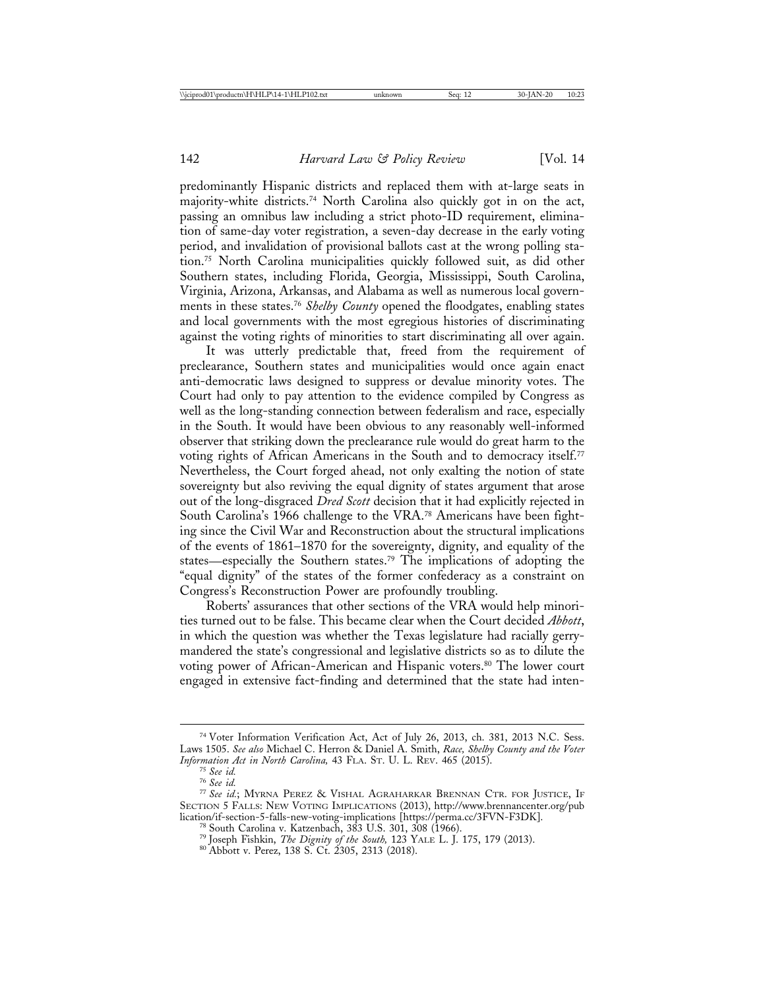predominantly Hispanic districts and replaced them with at-large seats in majority-white districts.74 North Carolina also quickly got in on the act, passing an omnibus law including a strict photo-ID requirement, elimination of same-day voter registration, a seven-day decrease in the early voting period, and invalidation of provisional ballots cast at the wrong polling station.75 North Carolina municipalities quickly followed suit, as did other Southern states, including Florida, Georgia, Mississippi, South Carolina, Virginia, Arizona, Arkansas, and Alabama as well as numerous local governments in these states.76 *Shelby County* opened the floodgates, enabling states and local governments with the most egregious histories of discriminating against the voting rights of minorities to start discriminating all over again.

It was utterly predictable that, freed from the requirement of preclearance, Southern states and municipalities would once again enact anti-democratic laws designed to suppress or devalue minority votes. The Court had only to pay attention to the evidence compiled by Congress as well as the long-standing connection between federalism and race, especially in the South. It would have been obvious to any reasonably well-informed observer that striking down the preclearance rule would do great harm to the voting rights of African Americans in the South and to democracy itself.<sup>77</sup> Nevertheless, the Court forged ahead, not only exalting the notion of state sovereignty but also reviving the equal dignity of states argument that arose out of the long-disgraced *Dred Scott* decision that it had explicitly rejected in South Carolina's 1966 challenge to the VRA.78 Americans have been fighting since the Civil War and Reconstruction about the structural implications of the events of 1861–1870 for the sovereignty, dignity, and equality of the states—especially the Southern states.79 The implications of adopting the "equal dignity" of the states of the former confederacy as a constraint on Congress's Reconstruction Power are profoundly troubling.

Roberts' assurances that other sections of the VRA would help minorities turned out to be false. This became clear when the Court decided *Abbott*, in which the question was whether the Texas legislature had racially gerrymandered the state's congressional and legislative districts so as to dilute the voting power of African-American and Hispanic voters.80 The lower court engaged in extensive fact-finding and determined that the state had inten-

<sup>74</sup> Voter Information Verification Act, Act of July 26, 2013, ch. 381, 2013 N.C. Sess. Laws 1505. *See also* Michael C. Herron & Daniel A. Smith, *Race, Shelby County and the Voter*

<sup>&</sup>lt;sup>75</sup> See id.<br><sup>76</sup> See id.<br><sup>77</sup> See id.; Myrna Perez & Vishal Agraharkar Brennan Ctr. for Justice, If SECTION 5 FALLS: NEW VOTING IMPLICATIONS (2013), http://www.brennancenter.org/pub<br>lication/if-section-5-falls-new-voting-implications [https://perma.cc/3FVN-F3DK].

<sup>&</sup>lt;sup>78</sup> South Carolina v. Katzenbach, 383 U.S. 301, 308 (1966).<br><sup>79</sup> Joseph Fishkin, *The Dignity of the South*, 123 YALE L. J. 175, 179 (2013).<br><sup>80</sup> Abbott v. Perez, 138 S. Ct. 2305, 2313 (2018).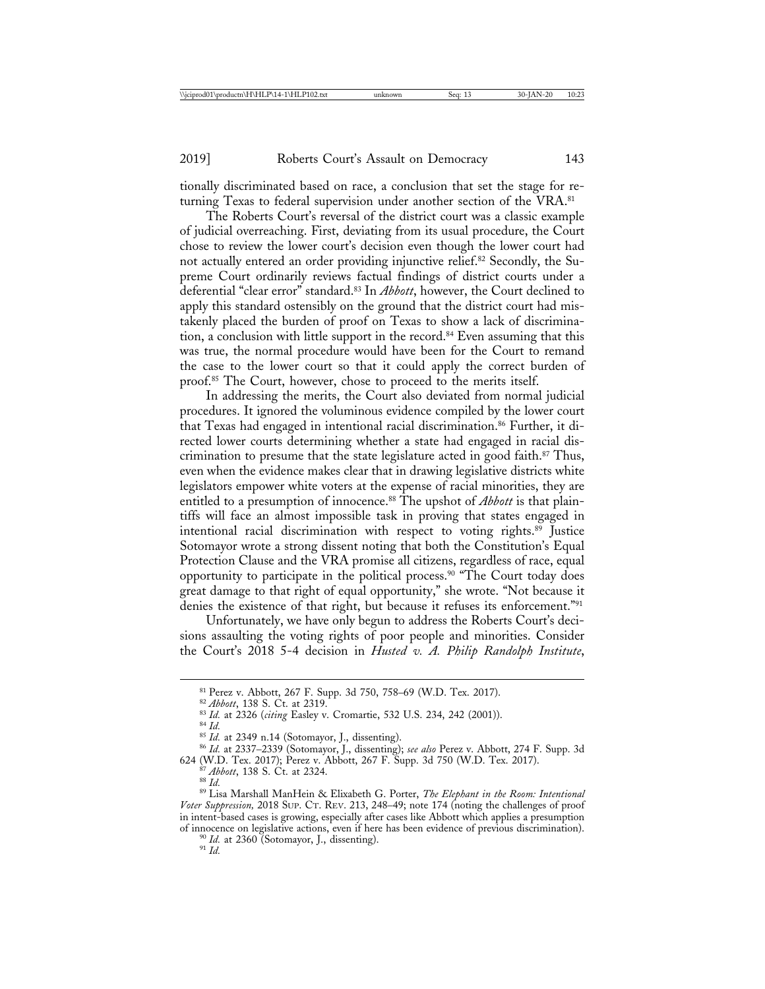tionally discriminated based on race, a conclusion that set the stage for returning Texas to federal supervision under another section of the VRA.<sup>81</sup>

The Roberts Court's reversal of the district court was a classic example of judicial overreaching. First, deviating from its usual procedure, the Court chose to review the lower court's decision even though the lower court had not actually entered an order providing injunctive relief.82 Secondly, the Supreme Court ordinarily reviews factual findings of district courts under a deferential "clear error" standard.83 In *Abbott*, however, the Court declined to apply this standard ostensibly on the ground that the district court had mistakenly placed the burden of proof on Texas to show a lack of discrimination, a conclusion with little support in the record.<sup>84</sup> Even assuming that this was true, the normal procedure would have been for the Court to remand the case to the lower court so that it could apply the correct burden of proof.85 The Court, however, chose to proceed to the merits itself.

In addressing the merits, the Court also deviated from normal judicial procedures. It ignored the voluminous evidence compiled by the lower court that Texas had engaged in intentional racial discrimination.86 Further, it directed lower courts determining whether a state had engaged in racial discrimination to presume that the state legislature acted in good faith.<sup>87</sup> Thus, even when the evidence makes clear that in drawing legislative districts white legislators empower white voters at the expense of racial minorities, they are entitled to a presumption of innocence.<sup>88</sup> The upshot of *Abbott* is that plaintiffs will face an almost impossible task in proving that states engaged in intentional racial discrimination with respect to voting rights.<sup>89</sup> Justice Sotomayor wrote a strong dissent noting that both the Constitution's Equal Protection Clause and the VRA promise all citizens, regardless of race, equal opportunity to participate in the political process.90 "The Court today does great damage to that right of equal opportunity," she wrote. "Not because it denies the existence of that right, but because it refuses its enforcement."91

Unfortunately, we have only begun to address the Roberts Court's decisions assaulting the voting rights of poor people and minorities. Consider the Court's 2018 5-4 decision in *Husted v. A. Philip Randolph Institute*,

<sup>&</sup>lt;sup>81</sup> Perez v. Abbott, 267 F. Supp. 3d 750, 758–69 (W.D. Tex. 2017).<br><sup>82</sup> *Abbott*, 138 S. Ct. at 2319.<br><sup>83</sup> *Id.* at 2326 (citing Easley v. Cromartie, 532 U.S. 234, 242 (2001)).<br><sup>84</sup> *Id.*<br><sup>85</sup> *Id.* at 2349 n.14 (Sotomay

<sup>&</sup>lt;sup>87</sup> *Abbott*, 138 S. Ct. at 2324.<br><sup>88</sup> Id. 887 *Id.* 887 *Id. ManHein & Elixabeth G. Porter, The Elephant in the Room: Intentional Voter Suppression,* 2018 SUP. CT. REV. 213, 248–49; note 174 (noting the challenges of proof in intent-based cases is growing, especially after cases like Abbott which applies a presumption of innocence on legislative actions, even if here has been evidence of previous discrimination). <sup>90</sup> *Id.* at 2360 (Sotomayor, J., dissenting). <sup>91</sup> *Id.*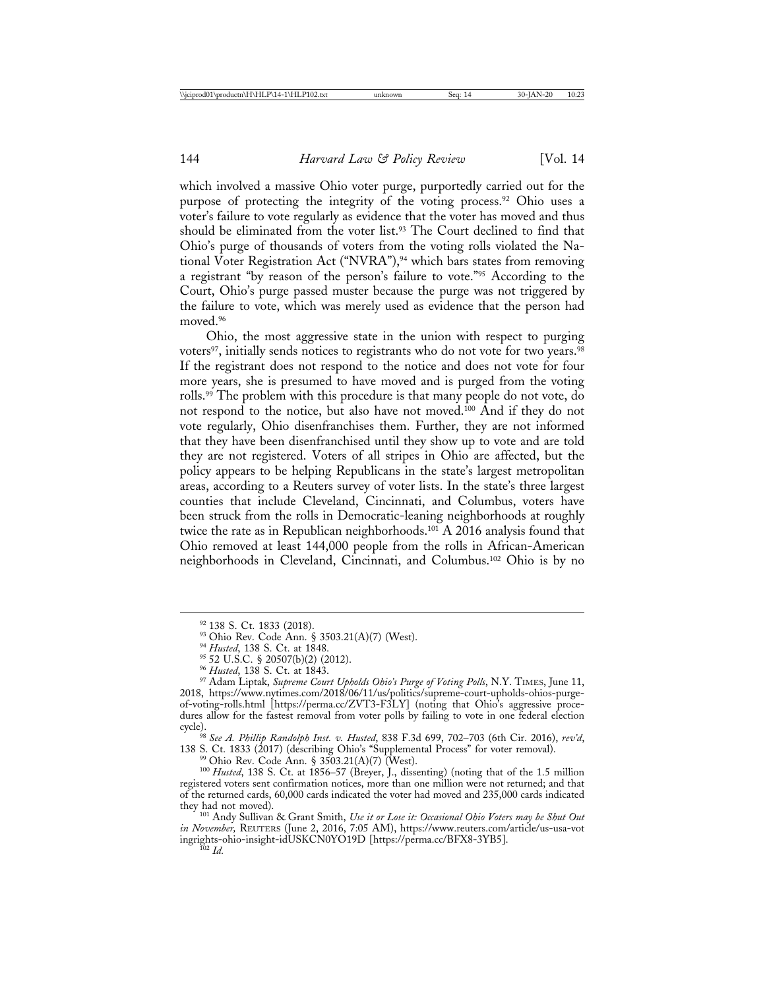which involved a massive Ohio voter purge, purportedly carried out for the purpose of protecting the integrity of the voting process.<sup>92</sup> Ohio uses a voter's failure to vote regularly as evidence that the voter has moved and thus should be eliminated from the voter list.<sup>93</sup> The Court declined to find that Ohio's purge of thousands of voters from the voting rolls violated the National Voter Registration Act ("NVRA"),<sup>94</sup> which bars states from removing a registrant "by reason of the person's failure to vote."95 According to the Court, Ohio's purge passed muster because the purge was not triggered by the failure to vote, which was merely used as evidence that the person had moved.<sup>96</sup>

Ohio, the most aggressive state in the union with respect to purging voters<sup>97</sup>, initially sends notices to registrants who do not vote for two years.<sup>98</sup> If the registrant does not respond to the notice and does not vote for four more years, she is presumed to have moved and is purged from the voting rolls.<sup>99</sup> The problem with this procedure is that many people do not vote, do not respond to the notice, but also have not moved.100 And if they do not vote regularly, Ohio disenfranchises them. Further, they are not informed that they have been disenfranchised until they show up to vote and are told they are not registered. Voters of all stripes in Ohio are affected, but the policy appears to be helping Republicans in the state's largest metropolitan areas, according to a Reuters survey of voter lists. In the state's three largest counties that include Cleveland, Cincinnati, and Columbus, voters have been struck from the rolls in Democratic-leaning neighborhoods at roughly twice the rate as in Republican neighborhoods.<sup>101</sup> A 2016 analysis found that Ohio removed at least 144,000 people from the rolls in African-American neighborhoods in Cleveland, Cincinnati, and Columbus.102 Ohio is by no

cycle). <sup>98</sup> *See A. Phillip Randolph Inst. v. Husted*, 838 F.3d 699, 702–703 (6th Cir. 2016), *rev'd*, 138 S. Ct. 1833 (2017) (describing Ohio's "Supplemental Process" for voter removal).<br><sup>99</sup> Ohio Rev. Code Ann. § 3503.21(A)(7) (West).<br><sup>100</sup> *Husted*, 138 S. Ct. at 1856–57 (Breyer, J., dissenting) (noting that of the 1.5

<sup>101</sup> Andy Sullivan & Grant Smith, *Use it or Lose it: Occasional Ohio Voters may be Shut Out in November,* REUTERS (June 2, 2016, 7:05 AM), https://www.reuters.com/article/us-usa-vot ingrights-ohio-insight-idUSKCN0YO19D [https://perma.cc/BFX8-3YB5]. <sup>102</sup> *Id.*

<sup>&</sup>lt;sup>92</sup> 138 S. Ct. 1833 (2018).<br><sup>93</sup> Ohio Rev. Code Ann. § 3503.21(A)(7) (West).<br><sup>94</sup> Husted, 138 S. Ct. at 1848.<br><sup>95</sup> 52 U.S.C. § 20507(b)(2) (2012).<br><sup>96</sup> Husted, 138 S. Ct. at 1843.<br><sup>97</sup> Adam Liptak, *Supreme Court Upholds* 2018, https://www.nytimes.com/2018/06/11/us/politics/supreme-court-upholds-ohios-purgeof-voting-rolls.html [https://perma.cc/ZVT3-F3LY] (noting that Ohio's aggressive procedures allow for the fastest removal from voter polls by failing to vote in one federal election cycle).

registered voters sent confirmation notices, more than one million were not returned; and that of the returned cards, 60,000 cards indicated the voter had moved and 235,000 cards indicated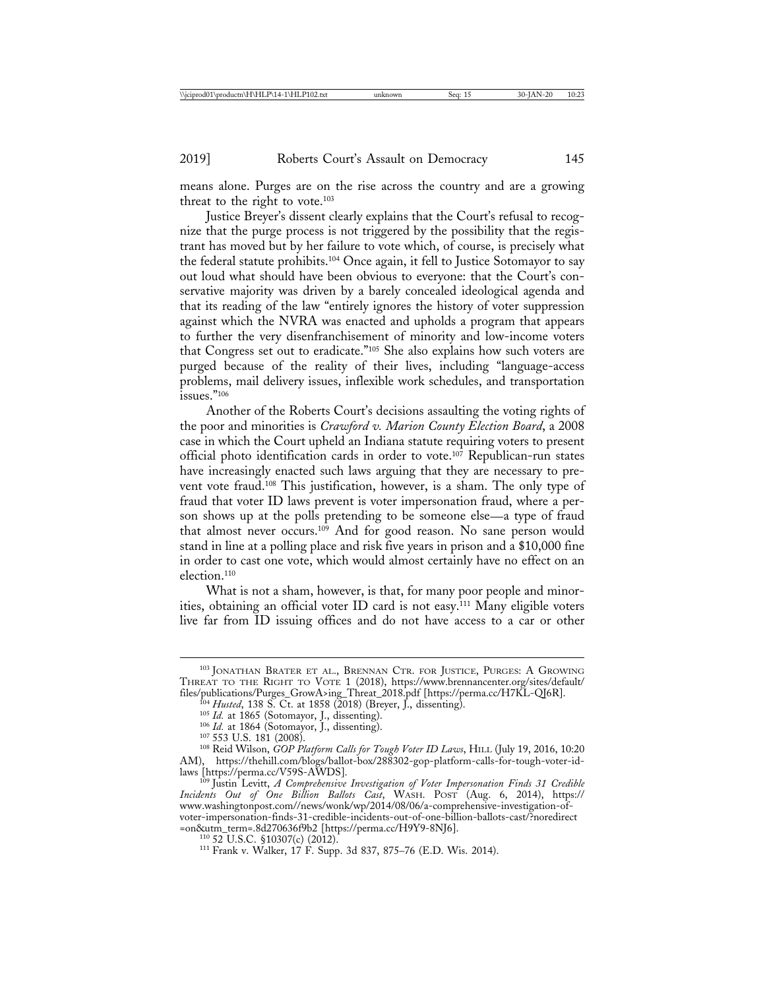means alone. Purges are on the rise across the country and are a growing threat to the right to vote.<sup>103</sup>

Justice Breyer's dissent clearly explains that the Court's refusal to recognize that the purge process is not triggered by the possibility that the registrant has moved but by her failure to vote which, of course, is precisely what the federal statute prohibits.104 Once again, it fell to Justice Sotomayor to say out loud what should have been obvious to everyone: that the Court's conservative majority was driven by a barely concealed ideological agenda and that its reading of the law "entirely ignores the history of voter suppression against which the NVRA was enacted and upholds a program that appears to further the very disenfranchisement of minority and low-income voters that Congress set out to eradicate."105 She also explains how such voters are purged because of the reality of their lives, including "language-access problems, mail delivery issues, inflexible work schedules, and transportation  $is sues.$ "<sup>106</sup>

Another of the Roberts Court's decisions assaulting the voting rights of the poor and minorities is *Crawford v. Marion County Election Board*, a 2008 case in which the Court upheld an Indiana statute requiring voters to present official photo identification cards in order to vote.107 Republican-run states have increasingly enacted such laws arguing that they are necessary to prevent vote fraud.108 This justification, however, is a sham. The only type of fraud that voter ID laws prevent is voter impersonation fraud, where a person shows up at the polls pretending to be someone else—a type of fraud that almost never occurs.109 And for good reason. No sane person would stand in line at a polling place and risk five years in prison and a \$10,000 fine in order to cast one vote, which would almost certainly have no effect on an election.110

What is not a sham, however, is that, for many poor people and minorities, obtaining an official voter ID card is not easy.111 Many eligible voters live far from ID issuing offices and do not have access to a car or other

<sup>103</sup> JONATHAN BRATER ET AL., BRENNAN CTR. FOR JUSTICE, PURGES: A GROWING THREAT TO THE RIGHT TO VOTE 1 (2018), https://www.brennancenter.org/sites/default/

<sup>&</sup>lt;sup>fo4</sup> *Husted*, 138 S. Ct. at 1858 (2018) (Breyer, J., dissenting).<br><sup>105</sup> *Id.* at 1865 (Sotomayor, J., dissenting).<br><sup>106</sup> *Id.* at 1864 (Sotomayor, J., dissenting).<br><sup>107</sup> 553 U.S. 181 (2008).<br><sup>107</sup> Seid Wilson, *GOP Plat* AM), https://thehill.com/blogs/ballot-box/288302-gop-platform-calls-for-tough-voter-id-<br>laws [https://perma.cc/V59S-AWDS].

laws [https://perma.cc/V59S-AWDS]. <sup>109</sup> Justin Levitt, *A Comprehensive Investigation of Voter Impersonation Finds 31 Credible Incidents Out of One Billion Ballots Cast*, WASH. POST (Aug. 6, 2014), https:// www.washingtonpost.com//news/wonk/wp/2014/08/06/a-comprehensive-investigation-ofvoter-impersonation-finds-31-credible-incidents-out-of-one-billion-ballots-cast/?noredirect

<sup>&</sup>lt;sup>110</sup> 52 U.S.C. §10307(c) (2012). <sup>111</sup> Frank v. Walker, 17 F. Supp. 3d 837, 875–76 (E.D. Wis. 2014).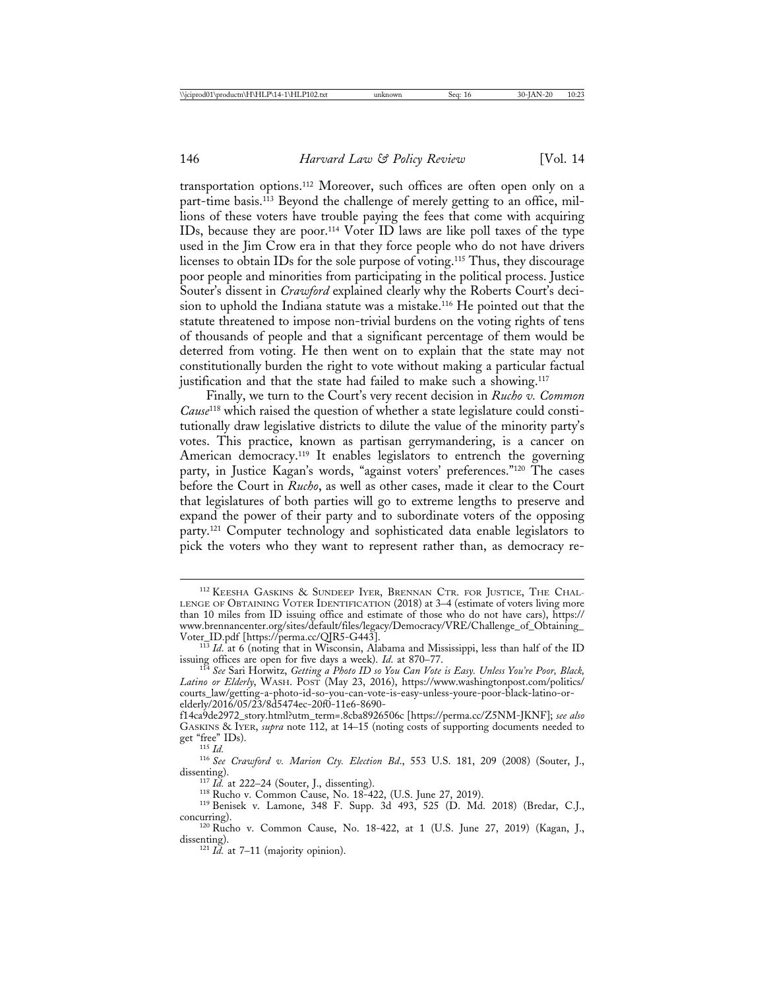transportation options.112 Moreover, such offices are often open only on a part-time basis.<sup>113</sup> Beyond the challenge of merely getting to an office, millions of these voters have trouble paying the fees that come with acquiring IDs, because they are poor.<sup>114</sup> Voter ID laws are like poll taxes of the type used in the Jim Crow era in that they force people who do not have drivers licenses to obtain IDs for the sole purpose of voting.115 Thus, they discourage poor people and minorities from participating in the political process. Justice Souter's dissent in *Crawford* explained clearly why the Roberts Court's decision to uphold the Indiana statute was a mistake.116 He pointed out that the statute threatened to impose non-trivial burdens on the voting rights of tens of thousands of people and that a significant percentage of them would be deterred from voting. He then went on to explain that the state may not constitutionally burden the right to vote without making a particular factual justification and that the state had failed to make such a showing.<sup>117</sup>

Finally, we turn to the Court's very recent decision in *Rucho v. Common Cause*118 which raised the question of whether a state legislature could constitutionally draw legislative districts to dilute the value of the minority party's votes. This practice, known as partisan gerrymandering, is a cancer on American democracy.<sup>119</sup> It enables legislators to entrench the governing party, in Justice Kagan's words, "against voters' preferences."120 The cases before the Court in *Rucho*, as well as other cases, made it clear to the Court that legislatures of both parties will go to extreme lengths to preserve and expand the power of their party and to subordinate voters of the opposing party.121 Computer technology and sophisticated data enable legislators to pick the voters who they want to represent rather than, as democracy re-

<sup>112</sup> KEESHA GASKINS & SUNDEEP IYER, BRENNAN CTR. FOR JUSTICE, THE CHAL-LENGE OF OBTAINING VOTER IDENTIFICATION (2018) at 3–4 (estimate of voters living more than 10 miles from ID issuing office and estimate of those who do not have cars), https:// www.brennancenter.org/sites/default/files/legacy/Democracy/VRE/Challenge\_of\_Obtaining\_

<sup>&</sup>lt;sup>113</sup> Id. at 6 (noting that in Wisconsin, Alabama and Mississippi, less than half of the ID

issuing offices are open for five days a week). *Id.* at 870–77.<br><sup>114</sup> See Sari Horwitz, *Getting a Photo ID so You Can Vote is Easy. Unless You're Poor, Black*, *Latino or Elderly*, WASH. POST (May 23, 2016), https://www.washingtonpost.com/politics/ courts\_law/getting-a-photo-id-so-you-can-vote-is-easy-unless-youre-poor-black-latino-orelderly/2016/05/23/8d5474ec-20f0-11e6-8690-

f14ca9de2972\_story.html?utm\_term=.8cba8926506c [https://perma.cc/Z5NM-JKNF]; *see also* GASKINS & IYER, *supra* note 112, at 14–15 (noting costs of supporting documents needed to get "free" IDs).

get "free" Ins. *Id.* 115 *Id.* 116 *See Crawford v. Marion Cty. Election Bd.*, 553 U.S. 181, 209 (2008) (Souter, J., dissenting).

<sup>&</sup>lt;sup>117</sup> *Id.* at 222–24 (Souter, J., dissenting).<br><sup>118</sup> Rucho v. Common Cause, No. 18-422, (U.S. June 27, 2019).<br><sup>119</sup> Benisek v. Lamone, 348 F. Supp. 3d 493, 525 (D. Md. 2018) (Bredar, C.J.,

concurring).<br><sup>120</sup> Rucho v. Common Cause, No. 18-422, at 1 (U.S. June 27, 2019) (Kagan, J., dissenting).

 $\frac{121}{Id}$ . at 7–11 (majority opinion).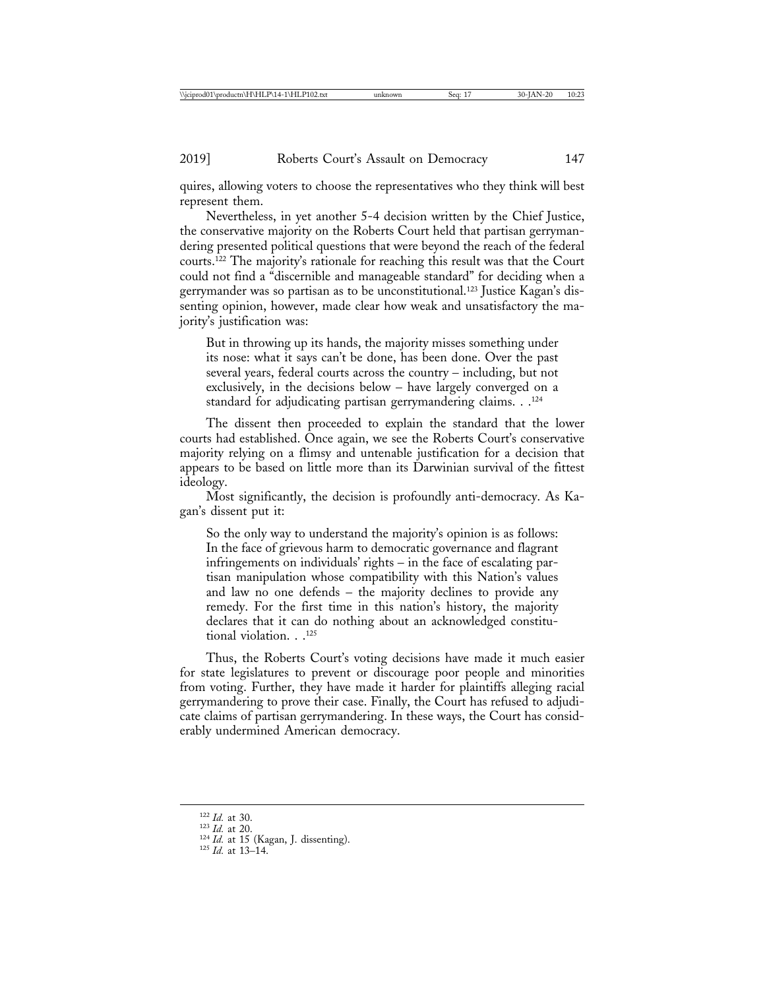quires, allowing voters to choose the representatives who they think will best represent them.

Nevertheless, in yet another 5-4 decision written by the Chief Justice, the conservative majority on the Roberts Court held that partisan gerrymandering presented political questions that were beyond the reach of the federal courts.122 The majority's rationale for reaching this result was that the Court could not find a "discernible and manageable standard" for deciding when a gerrymander was so partisan as to be unconstitutional.123 Justice Kagan's dissenting opinion, however, made clear how weak and unsatisfactory the majority's justification was:

But in throwing up its hands, the majority misses something under its nose: what it says can't be done, has been done. Over the past several years, federal courts across the country – including, but not exclusively, in the decisions below – have largely converged on a standard for adjudicating partisan gerrymandering claims. . .124

The dissent then proceeded to explain the standard that the lower courts had established. Once again, we see the Roberts Court's conservative majority relying on a flimsy and untenable justification for a decision that appears to be based on little more than its Darwinian survival of the fittest ideology.

Most significantly, the decision is profoundly anti-democracy. As Kagan's dissent put it:

So the only way to understand the majority's opinion is as follows: In the face of grievous harm to democratic governance and flagrant infringements on individuals' rights – in the face of escalating partisan manipulation whose compatibility with this Nation's values and law no one defends – the majority declines to provide any remedy. For the first time in this nation's history, the majority declares that it can do nothing about an acknowledged constitutional violation. . .125

Thus, the Roberts Court's voting decisions have made it much easier for state legislatures to prevent or discourage poor people and minorities from voting. Further, they have made it harder for plaintiffs alleging racial gerrymandering to prove their case. Finally, the Court has refused to adjudicate claims of partisan gerrymandering. In these ways, the Court has considerably undermined American democracy.

- 
- 122 *Id.* at 30.<br>
<sup>123</sup> *Id.* at 20.<br>
<sup>124</sup> *Id.* at 15 (Kagan, J. dissenting).<br>
<sup>125</sup> *Id.* at 13–14.
-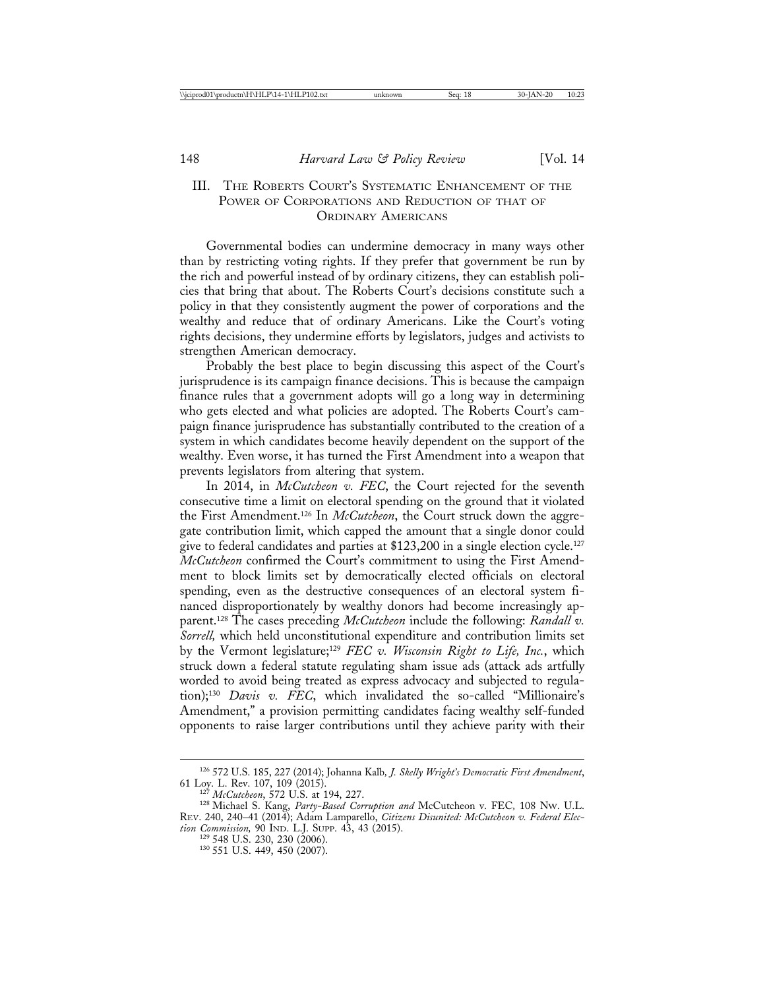# III. THE ROBERTS COURT'S SYSTEMATIC ENHANCEMENT OF THE POWER OF CORPORATIONS AND REDUCTION OF THAT OF ORDINARY AMERICANS

Governmental bodies can undermine democracy in many ways other than by restricting voting rights. If they prefer that government be run by the rich and powerful instead of by ordinary citizens, they can establish policies that bring that about. The Roberts Court's decisions constitute such a policy in that they consistently augment the power of corporations and the wealthy and reduce that of ordinary Americans. Like the Court's voting rights decisions, they undermine efforts by legislators, judges and activists to strengthen American democracy.

Probably the best place to begin discussing this aspect of the Court's jurisprudence is its campaign finance decisions. This is because the campaign finance rules that a government adopts will go a long way in determining who gets elected and what policies are adopted. The Roberts Court's campaign finance jurisprudence has substantially contributed to the creation of a system in which candidates become heavily dependent on the support of the wealthy. Even worse, it has turned the First Amendment into a weapon that prevents legislators from altering that system.

In 2014, in *McCutcheon v. FEC*, the Court rejected for the seventh consecutive time a limit on electoral spending on the ground that it violated the First Amendment.126 In *McCutcheon*, the Court struck down the aggregate contribution limit, which capped the amount that a single donor could give to federal candidates and parties at \$123,200 in a single election cycle.<sup>127</sup> *McCutcheon* confirmed the Court's commitment to using the First Amendment to block limits set by democratically elected officials on electoral spending, even as the destructive consequences of an electoral system financed disproportionately by wealthy donors had become increasingly apparent.128 The cases preceding *McCutcheon* include the following: *Randall v. Sorrell,* which held unconstitutional expenditure and contribution limits set by the Vermont legislature;129 *FEC v. Wisconsin Right to Life, Inc.*, which struck down a federal statute regulating sham issue ads (attack ads artfully worded to avoid being treated as express advocacy and subjected to regulation);130 *Davis v. FEC*, which invalidated the so-called "Millionaire's Amendment," a provision permitting candidates facing wealthy self-funded opponents to raise larger contributions until they achieve parity with their

<sup>126</sup> 572 U.S. 185, 227 (2014); Johanna Kalb*, J. Skelly Wright's Democratic First Amendment*, 61 Loy. L. Rev. 107, 109 (2015). <sup>127</sup> *McCutcheon*, 572 U.S. at 194, 227. <sup>128</sup> Michael S. Kang, *Party-Based Corruption and* McCutcheon v. FEC*,* 108 NW. U.L.

REV. 240, 240–41 (2014); Adam Lamparello, *Citizens Disunited: McCutcheon v. Federal Election Commission, 90 IND. L.J. SUPP. 43, 43 (2015).*<br><sup>129</sup> 548 U.S. 230, 230 (2006).<br><sup>130</sup> 551 U.S. 449, 450 (2007).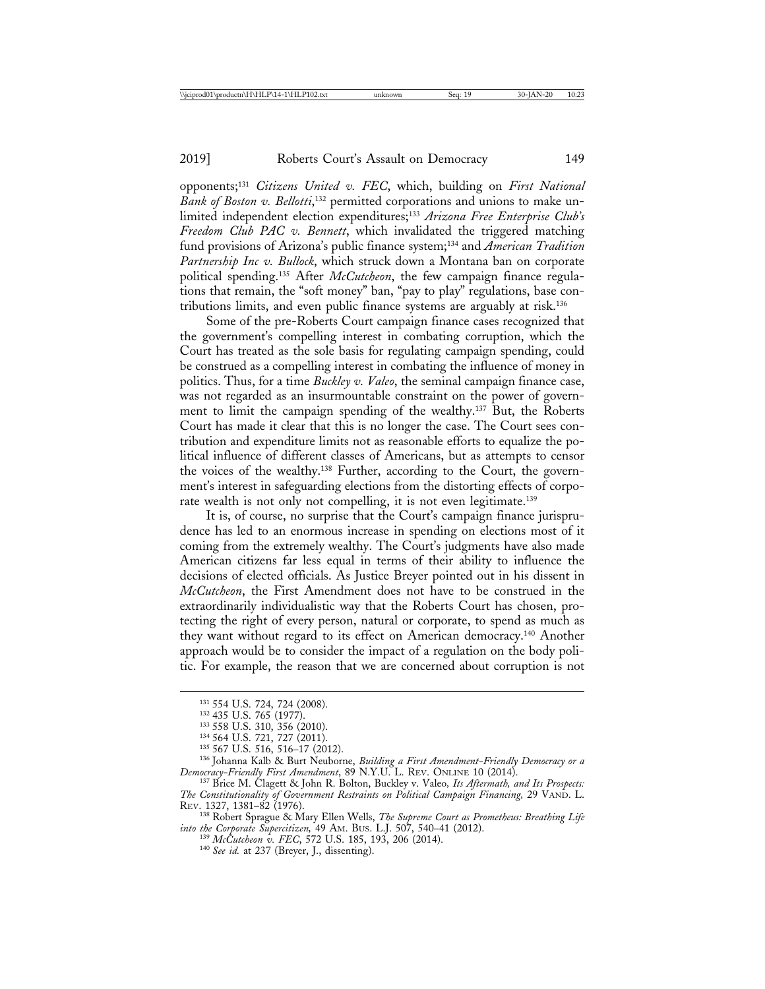opponents;131 *Citizens United v. FEC*, which, building on *First National* Bank of Boston v. Bellotti,<sup>132</sup> permitted corporations and unions to make unlimited independent election expenditures;133 *Arizona Free Enterprise Club's Freedom Club PAC v. Bennett*, which invalidated the triggered matching fund provisions of Arizona's public finance system;134 and *American Tradition Partnership Inc v. Bullock*, which struck down a Montana ban on corporate political spending.135 After *McCutcheon*, the few campaign finance regulations that remain, the "soft money" ban, "pay to play" regulations, base contributions limits, and even public finance systems are arguably at risk.136

Some of the pre-Roberts Court campaign finance cases recognized that the government's compelling interest in combating corruption, which the Court has treated as the sole basis for regulating campaign spending, could be construed as a compelling interest in combating the influence of money in politics. Thus, for a time *Buckley v. Valeo*, the seminal campaign finance case, was not regarded as an insurmountable constraint on the power of government to limit the campaign spending of the wealthy.137 But, the Roberts Court has made it clear that this is no longer the case. The Court sees contribution and expenditure limits not as reasonable efforts to equalize the political influence of different classes of Americans, but as attempts to censor the voices of the wealthy.138 Further, according to the Court, the government's interest in safeguarding elections from the distorting effects of corporate wealth is not only not compelling, it is not even legitimate.<sup>139</sup>

It is, of course, no surprise that the Court's campaign finance jurisprudence has led to an enormous increase in spending on elections most of it coming from the extremely wealthy. The Court's judgments have also made American citizens far less equal in terms of their ability to influence the decisions of elected officials. As Justice Breyer pointed out in his dissent in *McCutcheon*, the First Amendment does not have to be construed in the extraordinarily individualistic way that the Roberts Court has chosen, protecting the right of every person, natural or corporate, to spend as much as they want without regard to its effect on American democracy.140 Another approach would be to consider the impact of a regulation on the body politic. For example, the reason that we are concerned about corruption is not

<sup>&</sup>lt;sup>131</sup> 554 U.S. 724, 724 (2008).<br><sup>132</sup> 435 U.S. 765 (1977).<br><sup>133</sup> 558 U.S. 310, 356 (2010).<br><sup>134</sup> 564 U.S. 721, 727 (2011).<br><sup>135</sup> 567 U.S. 516, 516–17 (2012).<br><sup>136</sup> Johanna Kalb & Burt Neuborne, *Building a First Amendment* 

<sup>&</sup>lt;sup>137</sup> Brice M. Clagett & John R. Bolton, Buckley v. Valeo, Its Aftermath, and Its Prospects: *The Constitutionality of Government Restraints on Political Campaign Financing,* 29 VAND. L.

<sup>&</sup>lt;sup>138</sup> Robert Sprague & Mary Ellen Wells, *The Supreme Court as Prometheus: Breathing Life into the Corporate Supercitizen,* 49 AM. BUS. L.J. 507, 540–41 (2012).<br>
<sup>139</sup> *McCutcheon v. FEC*, 572 U.S. 185, 193, 206 (2014).<br>
<sup>140</sup> *See id.* at 237 (Breyer, J., dissenting).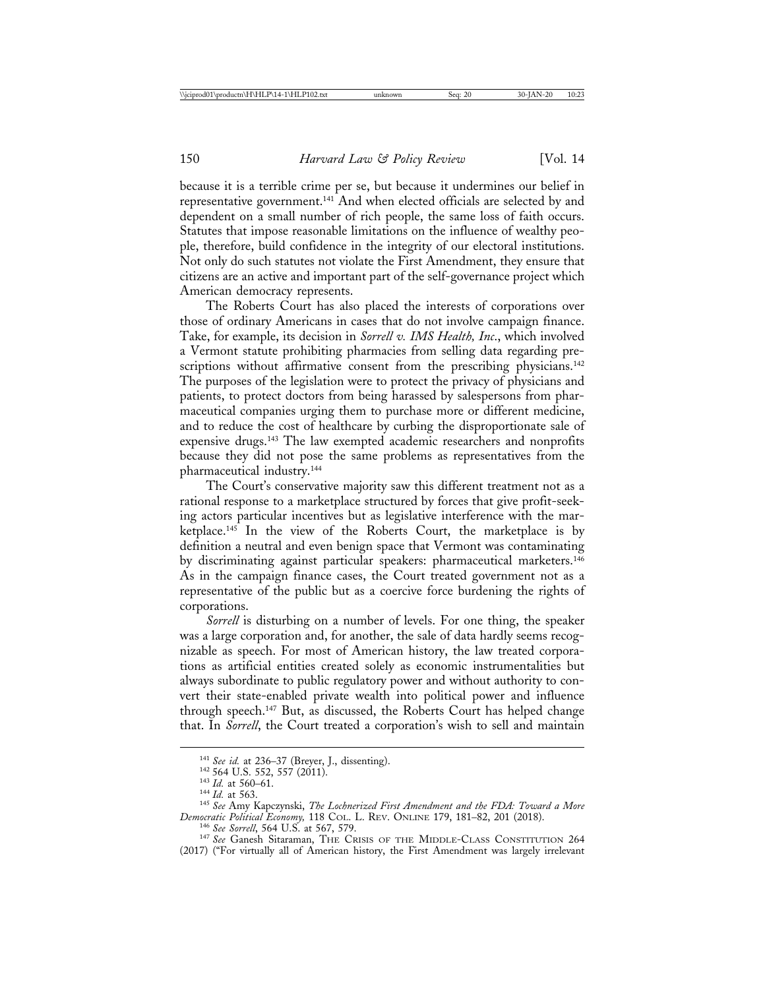because it is a terrible crime per se, but because it undermines our belief in representative government.141 And when elected officials are selected by and dependent on a small number of rich people, the same loss of faith occurs. Statutes that impose reasonable limitations on the influence of wealthy people, therefore, build confidence in the integrity of our electoral institutions. Not only do such statutes not violate the First Amendment, they ensure that citizens are an active and important part of the self-governance project which American democracy represents.

The Roberts Court has also placed the interests of corporations over those of ordinary Americans in cases that do not involve campaign finance. Take, for example, its decision in *Sorrell v. IMS Health, Inc*., which involved a Vermont statute prohibiting pharmacies from selling data regarding prescriptions without affirmative consent from the prescribing physicians.<sup>142</sup> The purposes of the legislation were to protect the privacy of physicians and patients, to protect doctors from being harassed by salespersons from pharmaceutical companies urging them to purchase more or different medicine, and to reduce the cost of healthcare by curbing the disproportionate sale of expensive drugs.143 The law exempted academic researchers and nonprofits because they did not pose the same problems as representatives from the pharmaceutical industry.144

The Court's conservative majority saw this different treatment not as a rational response to a marketplace structured by forces that give profit-seeking actors particular incentives but as legislative interference with the marketplace.<sup>145</sup> In the view of the Roberts Court, the marketplace is by definition a neutral and even benign space that Vermont was contaminating by discriminating against particular speakers: pharmaceutical marketers.<sup>146</sup> As in the campaign finance cases, the Court treated government not as a representative of the public but as a coercive force burdening the rights of corporations.

*Sorrell* is disturbing on a number of levels. For one thing, the speaker was a large corporation and, for another, the sale of data hardly seems recognizable as speech. For most of American history, the law treated corporations as artificial entities created solely as economic instrumentalities but always subordinate to public regulatory power and without authority to convert their state-enabled private wealth into political power and influence through speech.147 But, as discussed, the Roberts Court has helped change that. In *Sorrell*, the Court treated a corporation's wish to sell and maintain

<sup>&</sup>lt;sup>141</sup> See id. at 236–37 (Breyer, J., dissenting).<br><sup>142</sup> 564 U.S. 552, 557 (2011).<br><sup>143</sup> Id. at 560–61.<br><sup>144</sup> Id. at 563.<br><sup>145</sup> See Amy Kapczynski, *The Lochnerized First Amendment and the FDA: Toward a More*<br>*Democratic P* 

<sup>&</sup>lt;sup>146</sup> See Sorrell, 564 U.S. at 567, 579.<br><sup>147</sup> See Ganesh Sitaraman, THE CRISIS OF THE MIDDLE-CLASS CONSTITUTION 264 (2017) ("For virtually all of American history, the First Amendment was largely irrelevant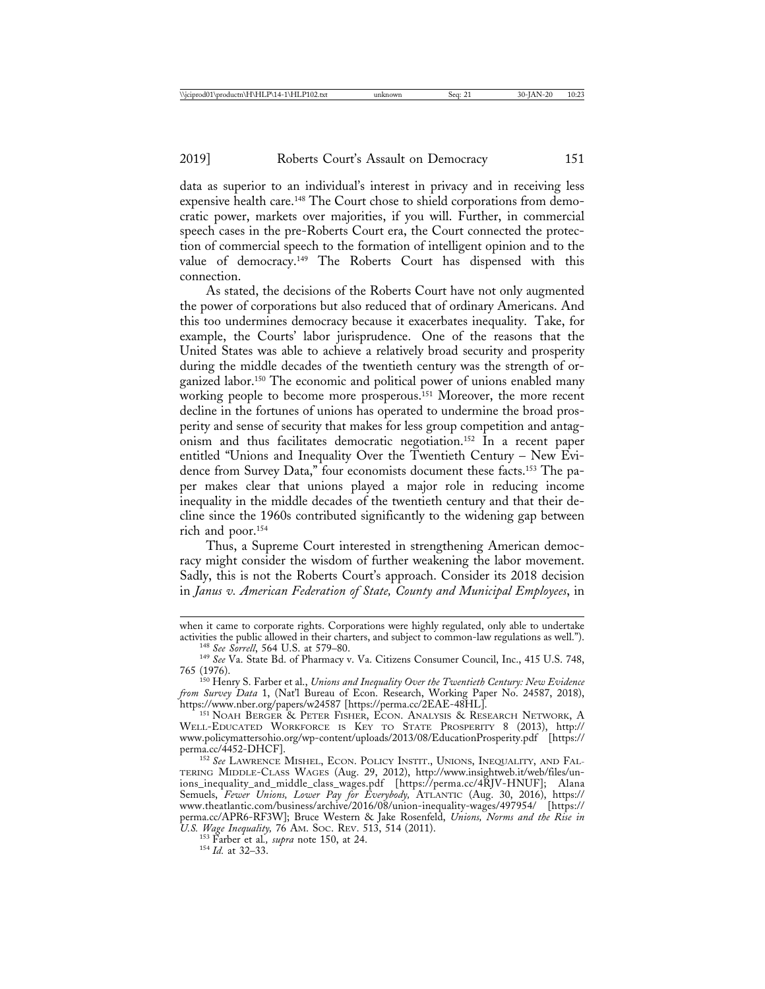data as superior to an individual's interest in privacy and in receiving less expensive health care.<sup>148</sup> The Court chose to shield corporations from democratic power, markets over majorities, if you will. Further, in commercial speech cases in the pre-Roberts Court era, the Court connected the protection of commercial speech to the formation of intelligent opinion and to the value of democracy.149 The Roberts Court has dispensed with this connection.

As stated, the decisions of the Roberts Court have not only augmented the power of corporations but also reduced that of ordinary Americans. And this too undermines democracy because it exacerbates inequality. Take, for example, the Courts' labor jurisprudence. One of the reasons that the United States was able to achieve a relatively broad security and prosperity during the middle decades of the twentieth century was the strength of organized labor.150 The economic and political power of unions enabled many working people to become more prosperous.<sup>151</sup> Moreover, the more recent decline in the fortunes of unions has operated to undermine the broad prosperity and sense of security that makes for less group competition and antagonism and thus facilitates democratic negotiation.152 In a recent paper entitled "Unions and Inequality Over the Twentieth Century – New Evidence from Survey Data," four economists document these facts.153 The paper makes clear that unions played a major role in reducing income inequality in the middle decades of the twentieth century and that their decline since the 1960s contributed significantly to the widening gap between rich and poor.154

Thus, a Supreme Court interested in strengthening American democracy might consider the wisdom of further weakening the labor movement. Sadly, this is not the Roberts Court's approach. Consider its 2018 decision in *Janus v. American Federation of State, County and Municipal Employees*, in

when it came to corporate rights. Corporations were highly regulated, only able to undertake activities the public allowed in their charters, and subject to common-law regulations as well.").

<sup>&</sup>lt;sup>148</sup> See Sorrell, 564 U.S. at 579–80.<br><sup>149</sup> See Va. State Bd. of Pharmacy v. Va. Citizens Consumer Council, Inc., 415 U.S. 748,<br>765 (1976).

<sup>765 (1976).</sup> <sup>150</sup> Henry S. Farber et al., *Unions and Inequality Over the Twentieth Century: New Evidence from Survey Data* 1, (Nat'l Bureau of Econ. Research, Working Paper No. 24587, 2018), https://www.nber.org/papers/w24587 [https://perma.cc/2EAE-48HL].<br><sup>151</sup> Noah Berger & Peter Fisher, Econ. Analysis & Research Network, A

WELL-EDUCATED WORKFORCE IS KEY TO STATE PROSPERITY 8 (2013), http:// www.policymattersohio.org/wp-content/uploads/2013/08/EducationProsperity.pdf [https:// perma.cc/4452-DHCF]. <sup>152</sup> *See* LAWRENCE MISHEL, ECON. POLICY INSTIT., UNIONS, INEQUALITY, AND FAL-

TERING MIDDLE-CLASS WAGES (Aug. 29, 2012), http://www.insightweb.it/web/files/unions\_inequality\_and\_middle\_class\_wages.pdf [https://perma.cc/4RJV-HNUF]; Alana Semuels, *Fewer Unions, Lower Pay for Everybody,* ATLANTIC (Aug. 30, 2016), https:// www.theatlantic.com/business/archive/2016/08/union-inequality-wages/497954/ [https:// perma.cc/APR6-RF3W]; Bruce Western & Jake Rosenfeld, *Unions, Norms and the Rise in U.S. Wage Inequality,* 76 AM. SOC. REV. 513, 514 (2011). <sup>153</sup> Farber et al*., supra* note 150, at 24. <sup>154</sup> *Id.* at 32–33.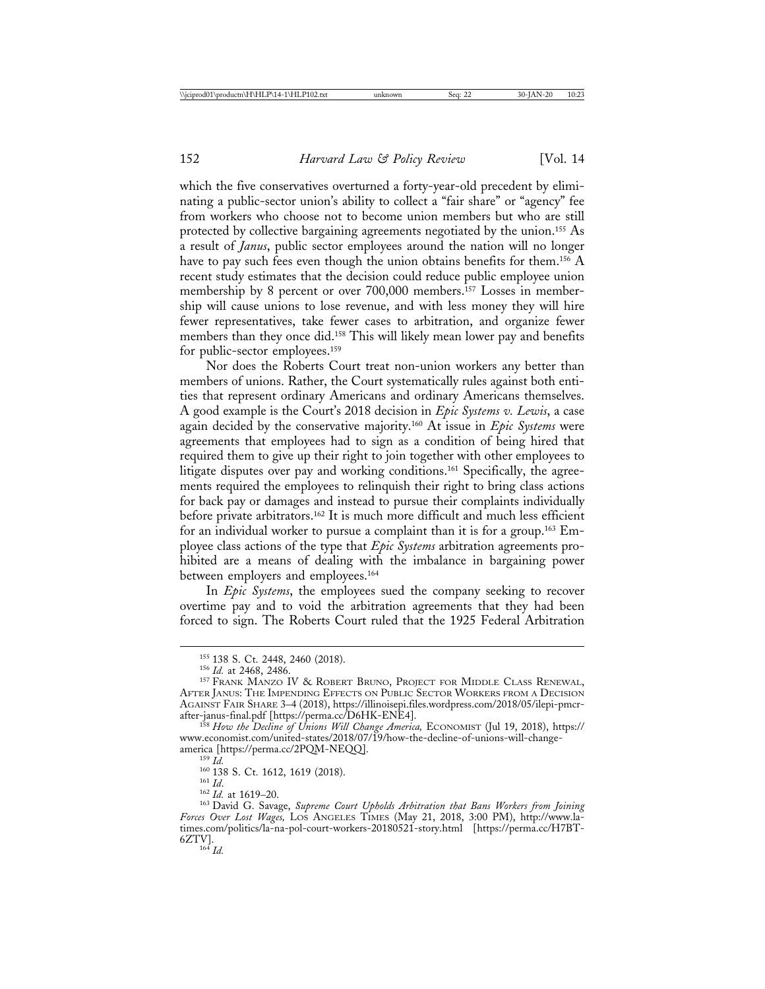which the five conservatives overturned a forty-year-old precedent by eliminating a public-sector union's ability to collect a "fair share" or "agency" fee from workers who choose not to become union members but who are still protected by collective bargaining agreements negotiated by the union.155 As a result of *Janus*, public sector employees around the nation will no longer have to pay such fees even though the union obtains benefits for them.<sup>156</sup> A recent study estimates that the decision could reduce public employee union membership by 8 percent or over 700,000 members.157 Losses in membership will cause unions to lose revenue, and with less money they will hire fewer representatives, take fewer cases to arbitration, and organize fewer members than they once did.158 This will likely mean lower pay and benefits for public-sector employees.159

Nor does the Roberts Court treat non-union workers any better than members of unions. Rather, the Court systematically rules against both entities that represent ordinary Americans and ordinary Americans themselves. A good example is the Court's 2018 decision in *Epic Systems v. Lewis*, a case again decided by the conservative majority.160 At issue in *Epic Systems* were agreements that employees had to sign as a condition of being hired that required them to give up their right to join together with other employees to litigate disputes over pay and working conditions.<sup>161</sup> Specifically, the agreements required the employees to relinquish their right to bring class actions for back pay or damages and instead to pursue their complaints individually before private arbitrators.162 It is much more difficult and much less efficient for an individual worker to pursue a complaint than it is for a group.163 Employee class actions of the type that *Epic Systems* arbitration agreements prohibited are a means of dealing with the imbalance in bargaining power between employers and employees.164

In *Epic Systems*, the employees sued the company seeking to recover overtime pay and to void the arbitration agreements that they had been forced to sign. The Roberts Court ruled that the 1925 Federal Arbitration

<sup>&</sup>lt;sup>155</sup> 138 S. Ct. 2448, 2460 (2018).<br><sup>156</sup> *Id.* at 2468, 2486.<br><sup>157</sup> Frank Manzo IV & Robert Bruno, Project for Middle Class Renewal, AFTER JANUS: THE IMPENDING EFFECTS ON PUBLIC SECTOR WORKERS FROM A DECISION AGAINST FAIR SHARE 3–4 (2018), https://illinoisepi.files.wordpress.com/2018/05/ilepi-pmcr-

after-janus-final.pdf [https://perma.cc/D6HK-ENE4]. <sup>158</sup> *How the Decline of Unions Will Change America,* ECONOMIST (Jul 19, 2018), https:// www.economist.com/united-states/2018/07/19/how-the-decline-of-unions-will-change-<br>america [https://perma.cc/2PQM-NEQQ].

america [https://perma.cc/2PQM-NEQQ]. <sup>159</sup> *Id.* <sup>160</sup> 138 S. Ct. 1612, 1619 (2018). <sup>161</sup> *Id*. <sup>162</sup> *Id.* at 1619–20. <sup>163</sup> David G. Savage, *Supreme Court Upholds Arbitration that Bans Workers from Joining Forces Over Lost Wages,* LOS ANGELES TIMES (May 21, 2018, 3:00 PM), http://www.latimes.com/politics/la-na-pol-court-workers-20180521-story.html [https://perma.cc/H7BT-6ZTV].<br> $^{164}$  *Id.*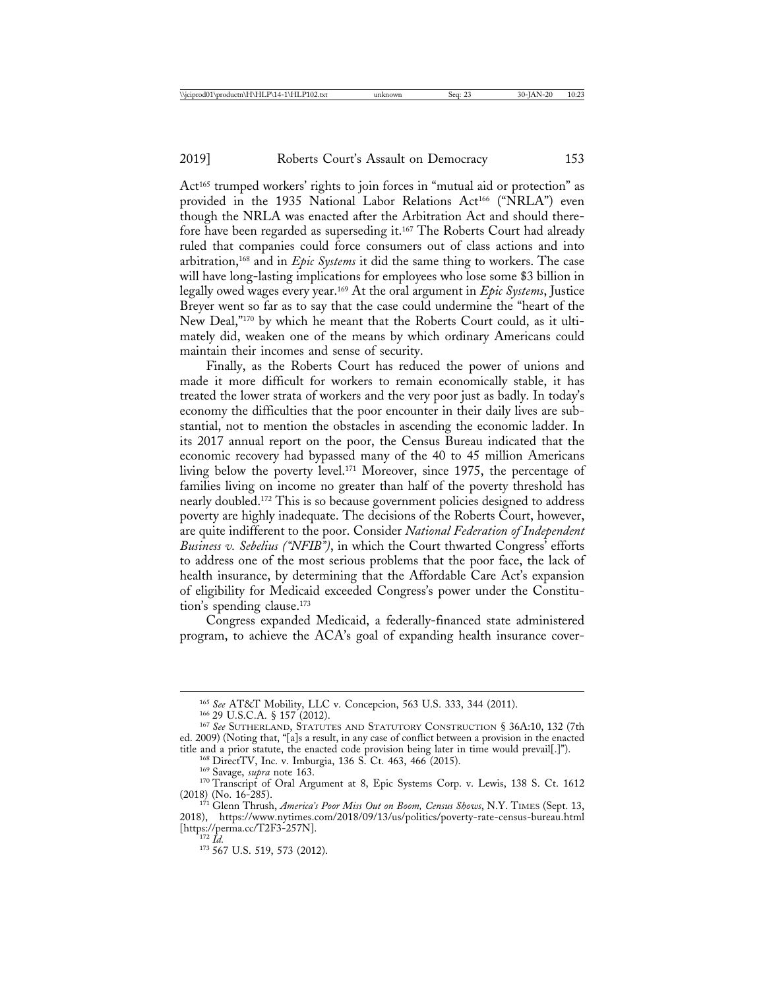Act<sup>165</sup> trumped workers' rights to join forces in "mutual aid or protection" as provided in the 1935 National Labor Relations Act<sup>166</sup> ("NRLA") even though the NRLA was enacted after the Arbitration Act and should therefore have been regarded as superseding it.167 The Roberts Court had already ruled that companies could force consumers out of class actions and into arbitration,168 and in *Epic Systems* it did the same thing to workers. The case will have long-lasting implications for employees who lose some \$3 billion in legally owed wages every year.169 At the oral argument in *Epic Systems*, Justice Breyer went so far as to say that the case could undermine the "heart of the New Deal,"170 by which he meant that the Roberts Court could, as it ultimately did, weaken one of the means by which ordinary Americans could maintain their incomes and sense of security.

Finally, as the Roberts Court has reduced the power of unions and made it more difficult for workers to remain economically stable, it has treated the lower strata of workers and the very poor just as badly. In today's economy the difficulties that the poor encounter in their daily lives are substantial, not to mention the obstacles in ascending the economic ladder. In its 2017 annual report on the poor, the Census Bureau indicated that the economic recovery had bypassed many of the 40 to 45 million Americans living below the poverty level.171 Moreover, since 1975, the percentage of families living on income no greater than half of the poverty threshold has nearly doubled.172 This is so because government policies designed to address poverty are highly inadequate. The decisions of the Roberts Court, however, are quite indifferent to the poor. Consider *National Federation of Independent Business v. Sebelius ("NFIB")*, in which the Court thwarted Congress' efforts to address one of the most serious problems that the poor face, the lack of health insurance, by determining that the Affordable Care Act's expansion of eligibility for Medicaid exceeded Congress's power under the Constitution's spending clause.<sup>173</sup>

Congress expanded Medicaid, a federally-financed state administered program, to achieve the ACA's goal of expanding health insurance cover-

<sup>&</sup>lt;sup>165</sup> See AT&T Mobility, LLC v. Concepcion, 563 U.S. 333, 344 (2011).<br><sup>166</sup> 29 U.S.C.A. § 157 (2012).<br><sup>167</sup> See SUTHERLAND, STATUTES AND STATUTORY CONSTRUCTION § 36A:10, 132 (7th ed. 2009) (Noting that, "[a]s a result, in any case of conflict between a provision in the enacted

<sup>&</sup>lt;sup>168</sup> DirectTV, Inc. v. Imburgia, 136 S. Ct. 463, 466 (2015).<br><sup>169</sup> Savage, *supra* note 163.<br><sup>170</sup> Transcript of Oral Argument at 8, Epic Systems Corp. v. Lewis, 138 S. Ct. 1612<br>(2018) (No. 16-285).

<sup>&</sup>lt;sup>171</sup> Glenn Thrush, *America's Poor Miss Out on Boom, Census Shows*, N.Y. TIMES (Sept. 13, 2018), https://www.nytimes.com/2018/09/13/us/politics/poverty-rate-census-bureau.html

<sup>&</sup>lt;sup>172</sup> *Id.* 173 567 U.S. 519, 573 (2012).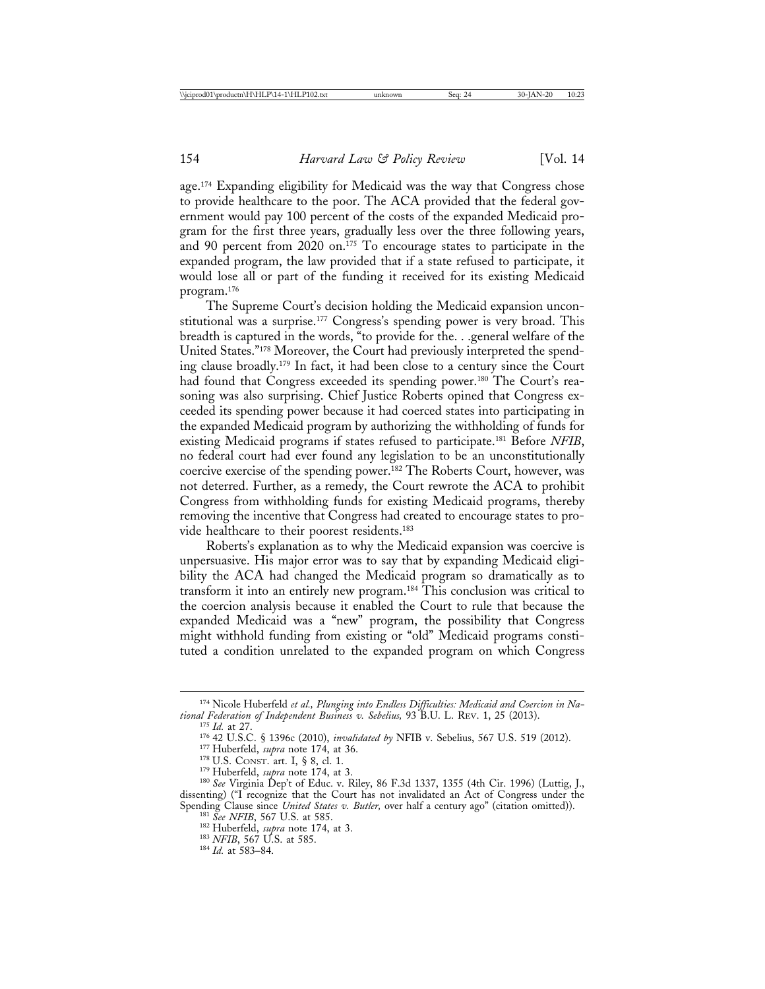age.174 Expanding eligibility for Medicaid was the way that Congress chose to provide healthcare to the poor. The ACA provided that the federal government would pay 100 percent of the costs of the expanded Medicaid program for the first three years, gradually less over the three following years, and 90 percent from 2020 on.<sup>175</sup> To encourage states to participate in the expanded program, the law provided that if a state refused to participate, it would lose all or part of the funding it received for its existing Medicaid program.176

The Supreme Court's decision holding the Medicaid expansion unconstitutional was a surprise.177 Congress's spending power is very broad. This breadth is captured in the words, "to provide for the. . .general welfare of the United States."178 Moreover, the Court had previously interpreted the spending clause broadly.179 In fact, it had been close to a century since the Court had found that Congress exceeded its spending power.<sup>180</sup> The Court's reasoning was also surprising. Chief Justice Roberts opined that Congress exceeded its spending power because it had coerced states into participating in the expanded Medicaid program by authorizing the withholding of funds for existing Medicaid programs if states refused to participate.181 Before *NFIB*, no federal court had ever found any legislation to be an unconstitutionally coercive exercise of the spending power.182 The Roberts Court, however, was not deterred. Further, as a remedy, the Court rewrote the ACA to prohibit Congress from withholding funds for existing Medicaid programs, thereby removing the incentive that Congress had created to encourage states to provide healthcare to their poorest residents.183

Roberts's explanation as to why the Medicaid expansion was coercive is unpersuasive. His major error was to say that by expanding Medicaid eligibility the ACA had changed the Medicaid program so dramatically as to transform it into an entirely new program.184 This conclusion was critical to the coercion analysis because it enabled the Court to rule that because the expanded Medicaid was a "new" program, the possibility that Congress might withhold funding from existing or "old" Medicaid programs constituted a condition unrelated to the expanded program on which Congress

<sup>&</sup>lt;sup>174</sup> Nicole Huberfeld *et al., Plunging into Endless Difficulties: Medicaid and Coercion in National Federation of Independent Business v. Sebelius, 93 B.U. L. REV. 1, 25 (2013).* 

<sup>&</sup>lt;sup>175</sup> *Id.* at 27.<br><sup>176</sup> 42 U.S.C. § 1396c (2010), *invalidated by* NFIB v. Sebelius, 567 U.S. 519 (2012).<br><sup>177</sup> Huberfeld, *supra* note 174, at 36.<br><sup>178</sup> U.S. CONST. art. I, § 8, cl. 1.<br><sup>179</sup> Huberfeld, *supra* note 174,

dissenting) ("I recognize that the Court has not invalidated an Act of Congress under the Spending Clause since *United States v. Butler*, over half a century ago" (citation omitted)).<br><sup>181</sup> See NFIB, 567 U.S. at 585.<br><sup>182</sup> Huberfeld, *supra* note 174, at 3.<br><sup>183</sup> NFIB, 567 U.S. at 585.<br><sup>183</sup> Id. at 583–84.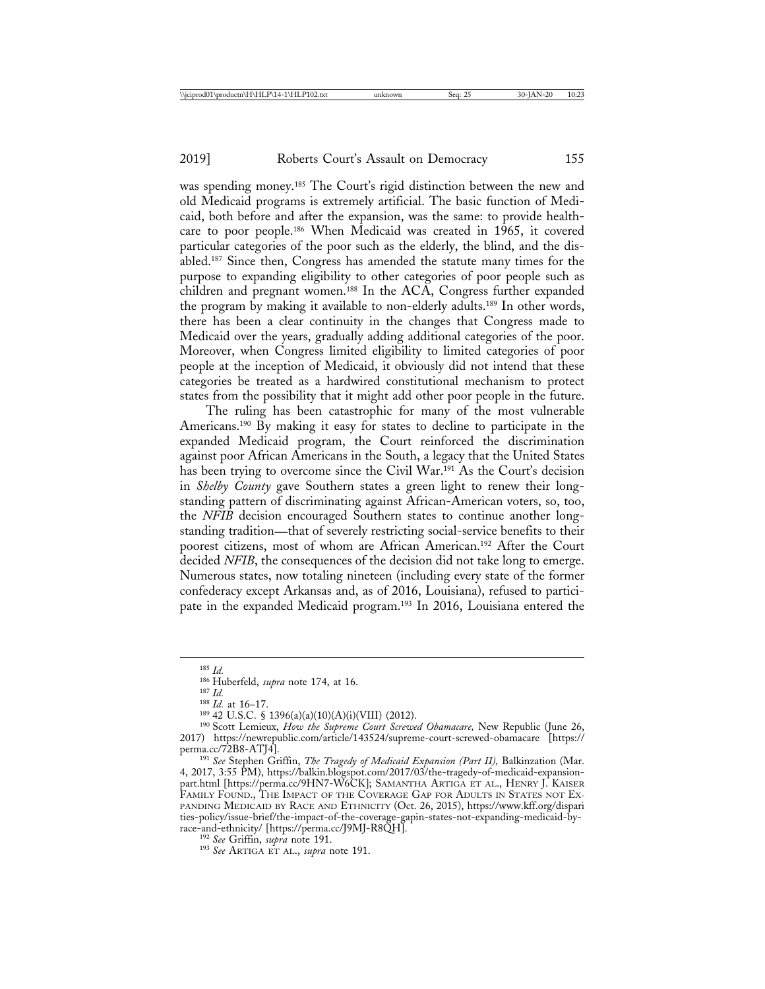was spending money.<sup>185</sup> The Court's rigid distinction between the new and old Medicaid programs is extremely artificial. The basic function of Medicaid, both before and after the expansion, was the same: to provide healthcare to poor people.186 When Medicaid was created in 1965, it covered particular categories of the poor such as the elderly, the blind, and the disabled.187 Since then, Congress has amended the statute many times for the purpose to expanding eligibility to other categories of poor people such as children and pregnant women.<sup>188</sup> In the ACA, Congress further expanded the program by making it available to non-elderly adults.189 In other words, there has been a clear continuity in the changes that Congress made to Medicaid over the years, gradually adding additional categories of the poor. Moreover, when Congress limited eligibility to limited categories of poor people at the inception of Medicaid, it obviously did not intend that these categories be treated as a hardwired constitutional mechanism to protect states from the possibility that it might add other poor people in the future.

The ruling has been catastrophic for many of the most vulnerable Americans.<sup>190</sup> By making it easy for states to decline to participate in the expanded Medicaid program, the Court reinforced the discrimination against poor African Americans in the South, a legacy that the United States has been trying to overcome since the Civil War.<sup>191</sup> As the Court's decision in *Shelby County* gave Southern states a green light to renew their longstanding pattern of discriminating against African-American voters, so, too, the *NFIB* decision encouraged Southern states to continue another longstanding tradition—that of severely restricting social-service benefits to their poorest citizens, most of whom are African American.192 After the Court decided *NFIB*, the consequences of the decision did not take long to emerge. Numerous states, now totaling nineteen (including every state of the former confederacy except Arkansas and, as of 2016, Louisiana), refused to participate in the expanded Medicaid program.193 In 2016, Louisiana entered the

<sup>&</sup>lt;sup>185</sup> *Id.*<br><sup>186</sup> Huberfeld, *supra* note 174, at 16.<br><sup>187</sup> *Id.*<br><sup>187</sup> *Id.*<br><sup>188</sup> *Id.* at 16–17.<br><sup>189</sup> 42 U.S.C. § 1396(a)(a)(10)(A)(i)(VIII) (2012).<br><sup>190</sup> Scott Lemieux, *How the Supreme Court Screwed Obamacare*, New 2017) https://newrepublic.com/article/143524/supreme-court-screwed-obamacare [https://

<sup>&</sup>lt;sup>191</sup> See Stephen Griffin, *The Tragedy of Medicaid Expansion (Part II)*, Balkinzation (Mar. 4, 2017, 3:55 PM), https://balkin.blogspot.com/2017/03/the-tragedy-of-medicaid-expansionpart.html [https://perma.cc/9HN7-W6CK]; SAMANTHA ARTIGA ET AL., HENRY J. KAISER FAMILY FOUND., THE IMPACT OF THE COVERAGE GAP FOR ADULTS IN STATES NOT EX-PANDING MEDICAID BY RACE AND ETHNICITY (Oct. 26, 2015), https://www.kff.org/dispari ties-policy/issue-brief/the-impact-of-the-coverage-gapin-states-not-expanding-medicaid-by-

<sup>&</sup>lt;sup>192</sup> See Griffin, *supra* note 191.<br><sup>193</sup> See ARTIGA ET AL., *supra* note 191.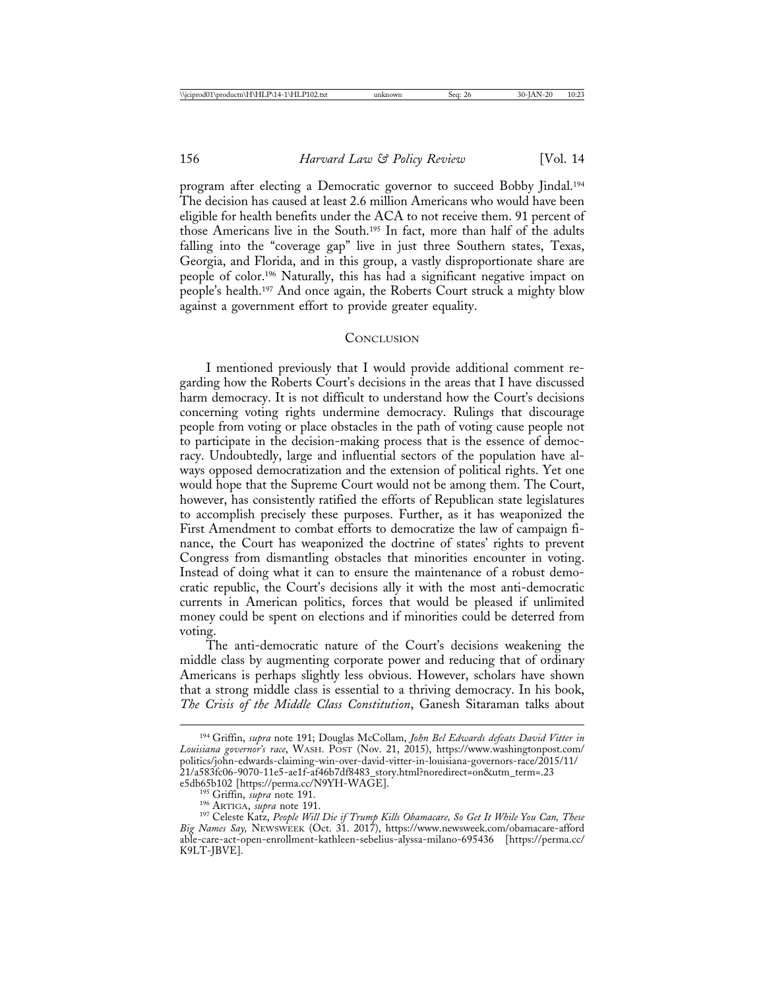program after electing a Democratic governor to succeed Bobby Jindal.194 The decision has caused at least 2.6 million Americans who would have been eligible for health benefits under the ACA to not receive them. 91 percent of those Americans live in the South.<sup>195</sup> In fact, more than half of the adults falling into the "coverage gap" live in just three Southern states, Texas, Georgia, and Florida, and in this group, a vastly disproportionate share are people of color.196 Naturally, this has had a significant negative impact on people's health.197 And once again, the Roberts Court struck a mighty blow against a government effort to provide greater equality.

#### **CONCLUSION**

I mentioned previously that I would provide additional comment regarding how the Roberts Court's decisions in the areas that I have discussed harm democracy. It is not difficult to understand how the Court's decisions concerning voting rights undermine democracy. Rulings that discourage people from voting or place obstacles in the path of voting cause people not to participate in the decision-making process that is the essence of democracy. Undoubtedly, large and influential sectors of the population have always opposed democratization and the extension of political rights. Yet one would hope that the Supreme Court would not be among them. The Court, however, has consistently ratified the efforts of Republican state legislatures to accomplish precisely these purposes. Further, as it has weaponized the First Amendment to combat efforts to democratize the law of campaign finance, the Court has weaponized the doctrine of states' rights to prevent Congress from dismantling obstacles that minorities encounter in voting. Instead of doing what it can to ensure the maintenance of a robust democratic republic, the Court's decisions ally it with the most anti-democratic currents in American politics, forces that would be pleased if unlimited money could be spent on elections and if minorities could be deterred from voting.

The anti-democratic nature of the Court's decisions weakening the middle class by augmenting corporate power and reducing that of ordinary Americans is perhaps slightly less obvious. However, scholars have shown that a strong middle class is essential to a thriving democracy. In his book, *The Crisis of the Middle Class Constitution*, Ganesh Sitaraman talks about

<sup>194</sup> Griffin, *supra* note 191; Douglas McCollam, *John Bel Edwards defeats David Vitter in Louisiana governor's race*, WASH. POST (Nov. 21, 2015), https://www.washingtonpost.com/ politics/john-edwards-claiming-win-over-david-vitter-in-louisiana-governors-race/2015/11/ 21/a583fc06-9070-11e5-ae1f-af46b7df8483\_story.html?noredirect=on&utm\_term=.23

e5db65b102 [https://perma.cc/N9YH-WAGE].<br><sup>195</sup> Griffin, *supra* note 191.<br><sup>196</sup> ARTIGA, *supra* note 191.<br><sup>197</sup> Celeste Katz, *People Will Die if Trump Kills Obamacare, So Get It While You Can, These Big Names Say,* NEWSWEEK (Oct. 31. 2017), https://www.newsweek.com/obamacare-afford able-care-act-open-enrollment-kathleen-sebelius-alyssa-milano-695436 [https://perma.cc/ K9LT-JBVE].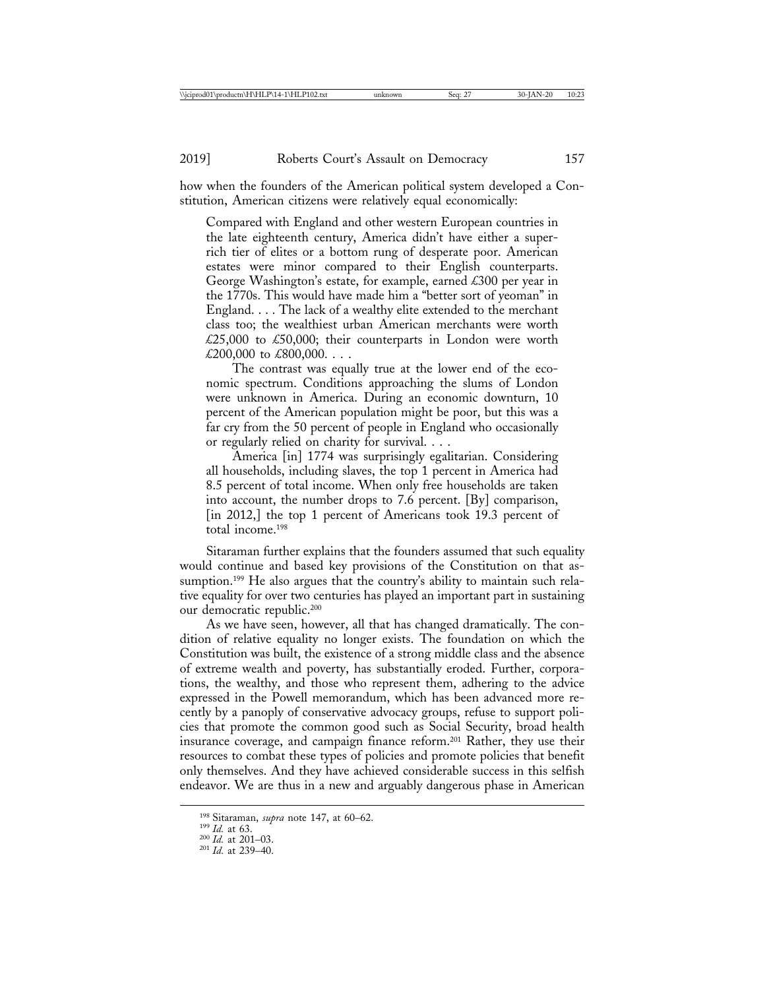how when the founders of the American political system developed a Constitution, American citizens were relatively equal economically:

Compared with England and other western European countries in the late eighteenth century, America didn't have either a superrich tier of elites or a bottom rung of desperate poor. American estates were minor compared to their English counterparts. George Washington's estate, for example, earned £300 per year in the 1770s. This would have made him a "better sort of yeoman" in England. . . . The lack of a wealthy elite extended to the merchant class too; the wealthiest urban American merchants were worth £25,000 to £50,000; their counterparts in London were worth £200,000 to £800,000.  $\dots$ 

The contrast was equally true at the lower end of the economic spectrum. Conditions approaching the slums of London were unknown in America. During an economic downturn, 10 percent of the American population might be poor, but this was a far cry from the 50 percent of people in England who occasionally or regularly relied on charity for survival. . . .

America [in] 1774 was surprisingly egalitarian. Considering all households, including slaves, the top 1 percent in America had 8.5 percent of total income. When only free households are taken into account, the number drops to 7.6 percent. [By] comparison, [in 2012,] the top 1 percent of Americans took 19.3 percent of total income.198

Sitaraman further explains that the founders assumed that such equality would continue and based key provisions of the Constitution on that assumption.<sup>199</sup> He also argues that the country's ability to maintain such relative equality for over two centuries has played an important part in sustaining our democratic republic.200

As we have seen, however, all that has changed dramatically. The condition of relative equality no longer exists. The foundation on which the Constitution was built, the existence of a strong middle class and the absence of extreme wealth and poverty, has substantially eroded. Further, corporations, the wealthy, and those who represent them, adhering to the advice expressed in the Powell memorandum, which has been advanced more recently by a panoply of conservative advocacy groups, refuse to support policies that promote the common good such as Social Security, broad health insurance coverage, and campaign finance reform.201 Rather, they use their resources to combat these types of policies and promote policies that benefit only themselves. And they have achieved considerable success in this selfish endeavor. We are thus in a new and arguably dangerous phase in American

<sup>198</sup> Sitaraman, *supra* note 147, at 60–62. <sup>199</sup> *Id.* at 63. <sup>200</sup> *Id.* at 201–03. <sup>201</sup> *Id.* at 239–40.